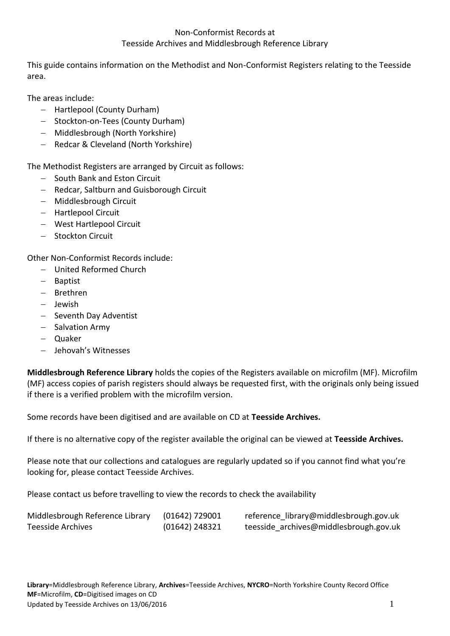This guide contains information on the Methodist and Non-Conformist Registers relating to the Teesside area.

The areas include:

- Hartlepool (County Durham)
- Stockton-on-Tees (County Durham)
- Middlesbrough (North Yorkshire)
- Redcar & Cleveland (North Yorkshire)

The Methodist Registers are arranged by Circuit as follows:

- South Bank and Eston Circuit
- Redcar, Saltburn and Guisborough Circuit
- Middlesbrough Circuit
- Hartlepool Circuit
- West Hartlepool Circuit
- Stockton Circuit

Other Non-Conformist Records include:

- United Reformed Church
- Baptist
- Brethren
- $-$  Iewish
- $-$  Seventh Day Adventist
- $-$  Salvation Army
- Quaker
- Jehovah's Witnesses

**Middlesbrough Reference Library** holds the copies of the Registers available on microfilm (MF). Microfilm (MF) access copies of parish registers should always be requested first, with the originals only being issued if there is a verified problem with the microfilm version.

Some records have been digitised and are available on CD at **Teesside Archives.**

If there is no alternative copy of the register available the original can be viewed at **Teesside Archives.**

Please note that our collections and catalogues are regularly updated so if you cannot find what you're looking for, please contact Teesside Archives.

Please contact us before travelling to view the records to check the availability

| Middlesbrough Reference Library | $(01642)$ 729001 | reference library@middlesbrough.gov.uk |
|---------------------------------|------------------|----------------------------------------|
| Teesside Archives               | (01642) 248321   | teesside archives@middlesbrough.gov.uk |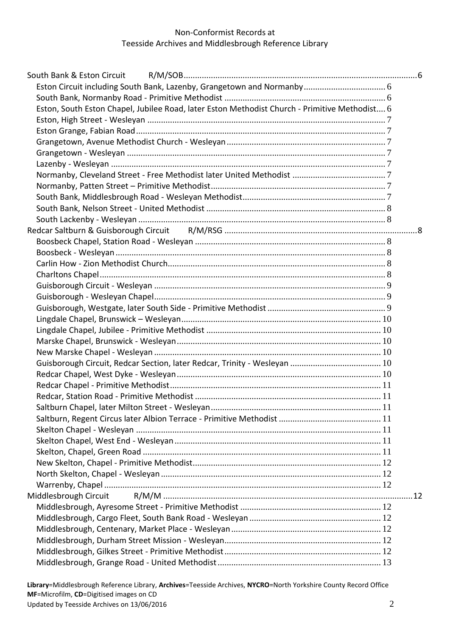| Eston, South Eston Chapel, Jubilee Road, later Eston Methodist Church - Primitive Methodist 6 |  |
|-----------------------------------------------------------------------------------------------|--|
|                                                                                               |  |
|                                                                                               |  |
|                                                                                               |  |
|                                                                                               |  |
|                                                                                               |  |
|                                                                                               |  |
|                                                                                               |  |
|                                                                                               |  |
|                                                                                               |  |
|                                                                                               |  |
|                                                                                               |  |
|                                                                                               |  |
|                                                                                               |  |
|                                                                                               |  |
|                                                                                               |  |
|                                                                                               |  |
|                                                                                               |  |
|                                                                                               |  |
|                                                                                               |  |
|                                                                                               |  |
|                                                                                               |  |
|                                                                                               |  |
|                                                                                               |  |
|                                                                                               |  |
|                                                                                               |  |
|                                                                                               |  |
|                                                                                               |  |
|                                                                                               |  |
|                                                                                               |  |
|                                                                                               |  |
|                                                                                               |  |
|                                                                                               |  |
|                                                                                               |  |
|                                                                                               |  |
| Middlesbrough Circuit                                                                         |  |
|                                                                                               |  |
|                                                                                               |  |
|                                                                                               |  |
|                                                                                               |  |
|                                                                                               |  |
|                                                                                               |  |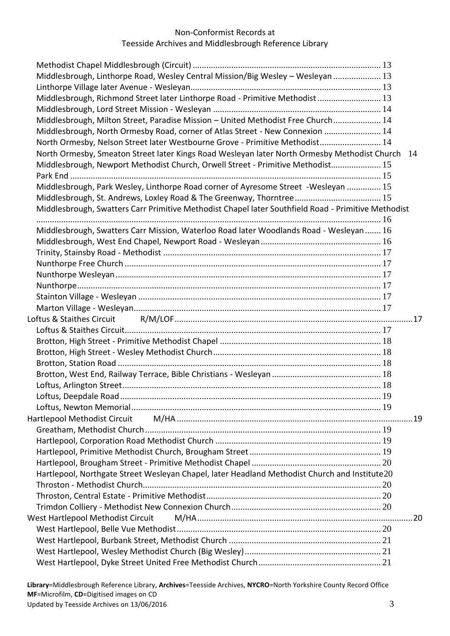| Middlesbrough, Linthorpe Road, Wesley Central Mission/Big Wesley - Wesleyan  13                     |     |  |
|-----------------------------------------------------------------------------------------------------|-----|--|
|                                                                                                     |     |  |
| Middlesbrough, Richmond Street later Linthorpe Road - Primitive Methodist 13                        |     |  |
|                                                                                                     |     |  |
| Middlesbrough, Milton Street, Paradise Mission - United Methodist Free Church 14                    |     |  |
| Middlesbrough, North Ormesby Road, corner of Atlas Street - New Connexion  14                       |     |  |
| North Ormesby, Nelson Street later Westbourne Grove - Primitive Methodist 14                        |     |  |
| North Ormesby, Smeaton Street later Kings Road Wesleyan later North Ormesby Methodist Church 14     |     |  |
| Middlesbrough, Newport Methodist Church, Orwell Street - Primitive Methodist 15                     |     |  |
|                                                                                                     |     |  |
| Middlesbrough, Park Wesley, Linthorpe Road corner of Ayresome Street -Wesleyan  15                  |     |  |
|                                                                                                     |     |  |
| Middlesbrough, Swatters Carr Primitive Methodist Chapel later Southfield Road - Primitive Methodist |     |  |
|                                                                                                     |     |  |
| Middlesbrough, Swatters Carr Mission, Waterloo Road later Woodlands Road - Wesleyan  16             |     |  |
|                                                                                                     |     |  |
|                                                                                                     |     |  |
|                                                                                                     |     |  |
|                                                                                                     |     |  |
|                                                                                                     |     |  |
|                                                                                                     |     |  |
|                                                                                                     |     |  |
| Loftus & Staithes Circuit                                                                           |     |  |
|                                                                                                     |     |  |
|                                                                                                     |     |  |
|                                                                                                     |     |  |
|                                                                                                     |     |  |
|                                                                                                     |     |  |
|                                                                                                     |     |  |
|                                                                                                     | -19 |  |
|                                                                                                     |     |  |
|                                                                                                     |     |  |
|                                                                                                     |     |  |
|                                                                                                     |     |  |
|                                                                                                     |     |  |
|                                                                                                     |     |  |
| Hartlepool, Northgate Street Wesleyan Chapel, later Headland Methodist Church and Institute20       |     |  |
|                                                                                                     |     |  |
|                                                                                                     |     |  |
|                                                                                                     |     |  |
| West Hartlepool Methodist Circuit                                                                   |     |  |
|                                                                                                     |     |  |
|                                                                                                     |     |  |
|                                                                                                     |     |  |
|                                                                                                     |     |  |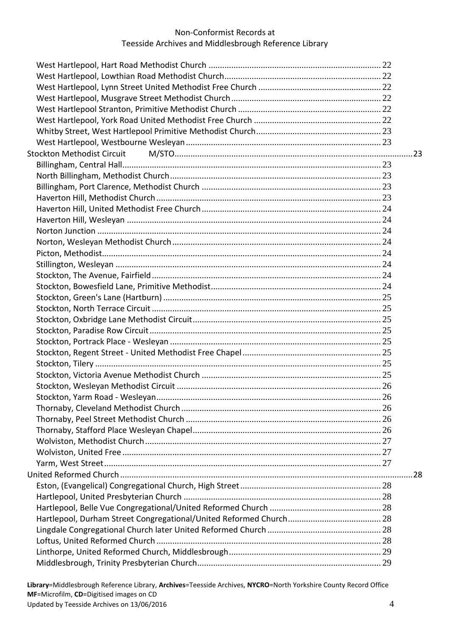| <b>Stockton Methodist Circuit</b> |     |
|-----------------------------------|-----|
|                                   |     |
|                                   |     |
|                                   |     |
|                                   |     |
|                                   |     |
|                                   |     |
|                                   |     |
|                                   |     |
|                                   |     |
|                                   |     |
|                                   |     |
|                                   |     |
|                                   |     |
|                                   |     |
|                                   |     |
|                                   |     |
|                                   |     |
|                                   |     |
|                                   |     |
|                                   |     |
|                                   |     |
|                                   |     |
|                                   |     |
|                                   |     |
|                                   |     |
|                                   |     |
|                                   |     |
|                                   |     |
|                                   | .28 |
|                                   |     |
|                                   |     |
|                                   |     |
|                                   |     |
|                                   |     |
|                                   |     |
|                                   |     |
|                                   |     |
|                                   |     |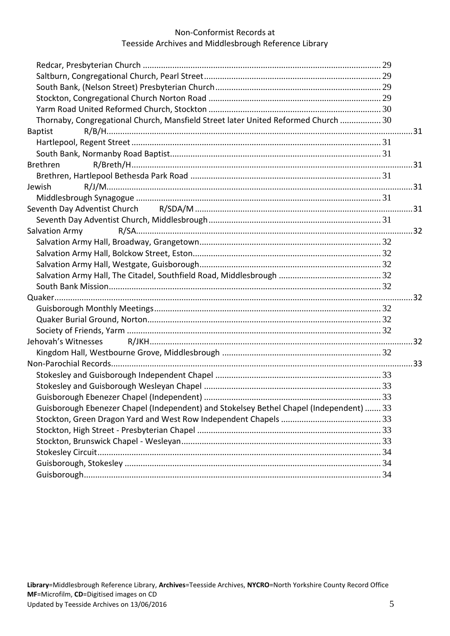| Thornaby, Congregational Church, Mansfield Street later United Reformed Church  30      |  |
|-----------------------------------------------------------------------------------------|--|
| <b>Baptist</b>                                                                          |  |
|                                                                                         |  |
|                                                                                         |  |
| Brethren                                                                                |  |
|                                                                                         |  |
| Jewish                                                                                  |  |
|                                                                                         |  |
|                                                                                         |  |
|                                                                                         |  |
| Salvation Army                                                                          |  |
|                                                                                         |  |
|                                                                                         |  |
|                                                                                         |  |
|                                                                                         |  |
|                                                                                         |  |
|                                                                                         |  |
|                                                                                         |  |
|                                                                                         |  |
|                                                                                         |  |
| Jehovah's Witnesses                                                                     |  |
|                                                                                         |  |
|                                                                                         |  |
|                                                                                         |  |
|                                                                                         |  |
|                                                                                         |  |
| Guisborough Ebenezer Chapel (Independent) and Stokelsey Bethel Chapel (Independent)  33 |  |
|                                                                                         |  |
|                                                                                         |  |
|                                                                                         |  |
|                                                                                         |  |
|                                                                                         |  |
|                                                                                         |  |
|                                                                                         |  |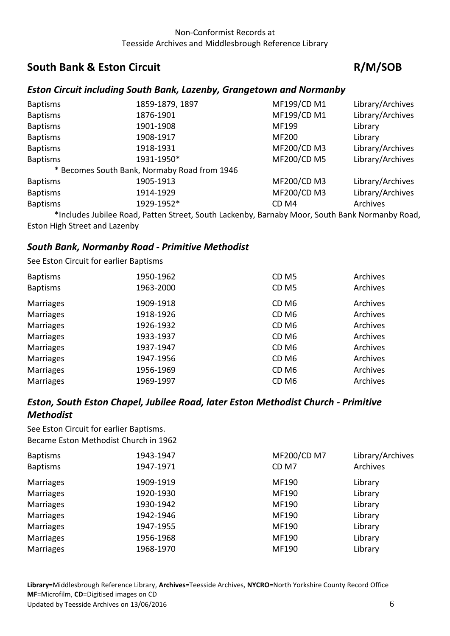# <span id="page-5-0"></span>**South Bank & Eston Circuit Community Community R/M/SOB**

## <span id="page-5-1"></span>*Eston Circuit including South Bank, Lazenby, Grangetown and Normanby*

| <b>Baptisms</b> | 1859-1879, 1897                              | MF199/CD M1  | Library/Archives |
|-----------------|----------------------------------------------|--------------|------------------|
| <b>Baptisms</b> | 1876-1901                                    | MF199/CD M1  | Library/Archives |
| <b>Baptisms</b> | 1901-1908                                    | MF199        | Library          |
| <b>Baptisms</b> | 1908-1917                                    | <b>MF200</b> | Library          |
| <b>Baptisms</b> | 1918-1931                                    | MF200/CD M3  | Library/Archives |
| <b>Baptisms</b> | 1931-1950*                                   | MF200/CD M5  | Library/Archives |
|                 | * Becomes South Bank, Normaby Road from 1946 |              |                  |
| <b>Baptisms</b> | 1905-1913                                    | MF200/CD M3  | Library/Archives |
| <b>Baptisms</b> | 1914-1929                                    | MF200/CD M3  | Library/Archives |
| <b>Baptisms</b> | 1929-1952*                                   | CD M4        | Archives         |
|                 |                                              |              |                  |

\*Includes Jubilee Road, Patten Street, South Lackenby, Barnaby Moor, South Bank Normanby Road, Eston High Street and Lazenby

## <span id="page-5-2"></span>*South Bank, Normanby Road - Primitive Methodist*

See Eston Circuit for earlier Baptisms

| <b>Baptisms</b>  | 1950-1962 | CD <sub>M5</sub> | Archives |
|------------------|-----------|------------------|----------|
| <b>Baptisms</b>  | 1963-2000 | CD <sub>M5</sub> | Archives |
| <b>Marriages</b> | 1909-1918 | CD <sub>M6</sub> | Archives |
| <b>Marriages</b> | 1918-1926 | CD <sub>M6</sub> | Archives |
| <b>Marriages</b> | 1926-1932 | CD <sub>M6</sub> | Archives |
| <b>Marriages</b> | 1933-1937 | CD <sub>M6</sub> | Archives |
| <b>Marriages</b> | 1937-1947 | CD <sub>M6</sub> | Archives |
| <b>Marriages</b> | 1947-1956 | CD <sub>M6</sub> | Archives |
| <b>Marriages</b> | 1956-1969 | CD <sub>M6</sub> | Archives |
| <b>Marriages</b> | 1969-1997 | CD <sub>M6</sub> | Archives |

## <span id="page-5-3"></span>*Eston, South Eston Chapel, Jubilee Road, later Eston Methodist Church - Primitive Methodist*

See Eston Circuit for earlier Baptisms. Became Eston Methodist Church in 1962

| <b>Baptisms</b>  | 1943-1947 | MF200/CD M7      | Library/Archives |
|------------------|-----------|------------------|------------------|
| <b>Baptisms</b>  | 1947-1971 | CD <sub>M7</sub> | Archives         |
| <b>Marriages</b> | 1909-1919 | MF190            | Library          |
| <b>Marriages</b> | 1920-1930 | MF190            | Library          |
| <b>Marriages</b> | 1930-1942 | MF190            | Library          |
| <b>Marriages</b> | 1942-1946 | MF190            | Library          |
| <b>Marriages</b> | 1947-1955 | MF190            | Library          |
| <b>Marriages</b> | 1956-1968 | MF190            | Library          |
| <b>Marriages</b> | 1968-1970 | MF190            | Library          |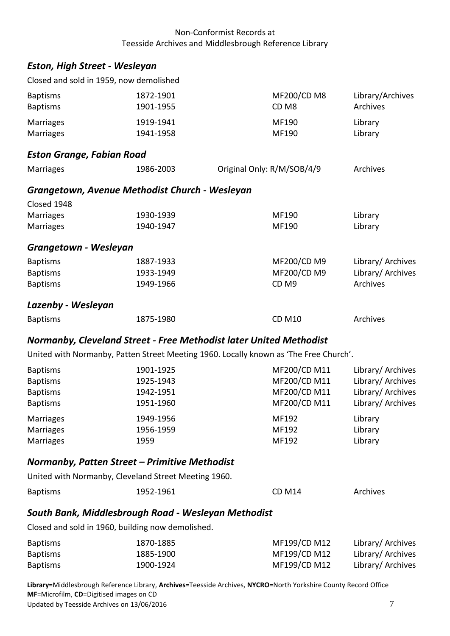## <span id="page-6-0"></span>*Eston, High Street - Wesleyan*

| <b>Eston Grange, Fabian Road</b> |                                         |             |                  |
|----------------------------------|-----------------------------------------|-------------|------------------|
| Marriages                        | 1941-1958                               | MF190       | Library          |
| Marriages                        | 1919-1941                               | MF190       | Library          |
| <b>Baptisms</b>                  | 1901-1955                               | CD M8       | Archives         |
| <b>Baptisms</b>                  | 1872-1901                               | MF200/CD M8 | Library/Archives |
|                                  | Closed and sold in 1959, now demolished |             |                  |

<span id="page-6-3"></span><span id="page-6-2"></span><span id="page-6-1"></span>

| <b>Marriages</b>      | 1986-2003                                      | Original Only: R/M/SOB/4/9 |                   |
|-----------------------|------------------------------------------------|----------------------------|-------------------|
|                       | Grangetown, Avenue Methodist Church - Wesleyan |                            |                   |
| Closed 1948           |                                                |                            |                   |
| <b>Marriages</b>      | 1930-1939                                      | MF190                      | Library           |
| <b>Marriages</b>      | 1940-1947                                      | MF190                      | Library           |
| Grangetown - Wesleyan |                                                |                            |                   |
| <b>Baptisms</b>       | 1887-1933                                      | MF200/CD M9                | Library/ Archives |
| <b>Baptisms</b>       | 1933-1949                                      | MF200/CD M9                | Library/ Archives |
| <b>Baptisms</b>       | 1949-1966                                      | CD <sub>M9</sub>           | Archives          |
| Lazenby - Wesleyan    |                                                |                            |                   |

## <span id="page-6-5"></span>*Normanby, Cleveland Street - Free Methodist later United Methodist*

United with Normanby, Patten Street Meeting 1960. Locally known as 'The Free Church'.

<span id="page-6-4"></span>Baptisms **1875-1980** CD M10 **Archives** 

| <b>Baptisms</b>  | 1901-1925 | MF200/CD M11 | Library/ Archives |
|------------------|-----------|--------------|-------------------|
| <b>Baptisms</b>  | 1925-1943 | MF200/CD M11 | Library/ Archives |
| <b>Baptisms</b>  | 1942-1951 | MF200/CD M11 | Library/ Archives |
| <b>Baptisms</b>  | 1951-1960 | MF200/CD M11 | Library/ Archives |
| Marriages        | 1949-1956 | MF192        | Library           |
| <b>Marriages</b> | 1956-1959 | MF192        | Library           |
| <b>Marriages</b> | 1959      | MF192        | Library           |

## <span id="page-6-6"></span>*Normanby, Patten Street – Primitive Methodist* United with Normanby, Cleveland Street Meeting 1960.

| <b>Baptisms</b> | 1952-1961 | <b>CD M14</b> | Archives |  |
|-----------------|-----------|---------------|----------|--|

## <span id="page-6-7"></span>*South Bank, Middlesbrough Road - Wesleyan Methodist*

Closed and sold in 1960, building now demolished.

| <b>Baptisms</b> | 1870-1885 | MF199/CD M12 | Library/ Archives |
|-----------------|-----------|--------------|-------------------|
| <b>Baptisms</b> | 1885-1900 | MF199/CD M12 | Library/ Archives |
| <b>Baptisms</b> | 1900-1924 | MF199/CD M12 | Library/ Archives |

**Library**=Middlesbrough Reference Library, **Archives**=Teesside Archives, **NYCRO**=North Yorkshire County Record Office **MF**=Microfilm, **CD**=Digitised images on CD Updated by Teesside Archives on 13/06/2016 **7** and the Updated by Teesside Archives on 13/06/2016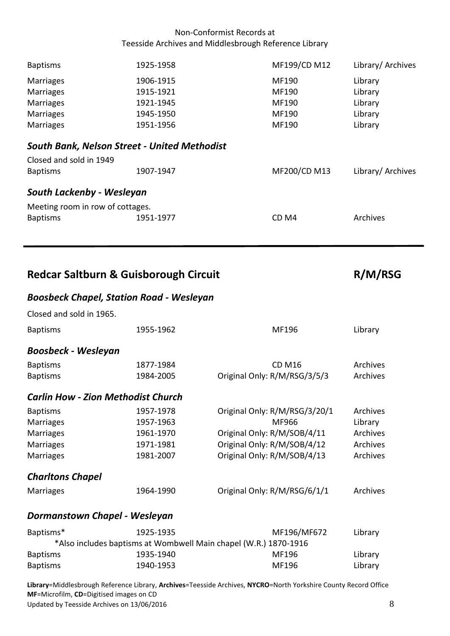<span id="page-7-0"></span>

| <b>Baptisms</b>                                     | 1925-1958 | MF199/CD M12     | Library/ Archives |  |
|-----------------------------------------------------|-----------|------------------|-------------------|--|
| <b>Marriages</b>                                    | 1906-1915 | MF190            | Library           |  |
| <b>Marriages</b>                                    | 1915-1921 | MF190            | Library           |  |
| <b>Marriages</b>                                    | 1921-1945 | MF190            | Library           |  |
| <b>Marriages</b>                                    | 1945-1950 | MF190            | Library           |  |
| <b>Marriages</b>                                    | 1951-1956 | MF190            | Library           |  |
| <b>South Bank, Nelson Street - United Methodist</b> |           |                  |                   |  |
| Closed and sold in 1949                             |           |                  |                   |  |
| <b>Baptisms</b>                                     | 1907-1947 | MF200/CD M13     | Library/ Archives |  |
| South Lackenby - Wesleyan                           |           |                  |                   |  |
| Meeting room in row of cottages.                    |           |                  |                   |  |
| <b>Baptisms</b>                                     | 1951-1977 | CD <sub>M4</sub> | Archives          |  |
|                                                     |           |                  |                   |  |

<span id="page-7-2"></span>Redcar Saltburn & Guisborough Circuit **R/M/RSG** 

<span id="page-7-1"></span>l,

## <span id="page-7-3"></span>*Boosbeck Chapel, Station Road - Wesleyan*

<span id="page-7-6"></span><span id="page-7-5"></span><span id="page-7-4"></span>

| Closed and sold in 1965.                  |                                                                  |                               |          |
|-------------------------------------------|------------------------------------------------------------------|-------------------------------|----------|
| <b>Baptisms</b>                           | 1955-1962                                                        | MF196                         | Library  |
| <b>Boosbeck - Wesleyan</b>                |                                                                  |                               |          |
| <b>Baptisms</b>                           | 1877-1984                                                        | <b>CD M16</b>                 | Archives |
| <b>Baptisms</b>                           | 1984-2005                                                        | Original Only: R/M/RSG/3/5/3  | Archives |
| <b>Carlin How - Zion Methodist Church</b> |                                                                  |                               |          |
| <b>Baptisms</b>                           | 1957-1978                                                        | Original Only: R/M/RSG/3/20/1 | Archives |
| <b>Marriages</b>                          | 1957-1963                                                        | MF966                         | Library  |
| <b>Marriages</b>                          | 1961-1970                                                        | Original Only: R/M/SOB/4/11   | Archives |
| <b>Marriages</b>                          | 1971-1981                                                        | Original Only: R/M/SOB/4/12   | Archives |
| <b>Marriages</b>                          | 1981-2007                                                        | Original Only: R/M/SOB/4/13   | Archives |
| <b>Charltons Chapel</b>                   |                                                                  |                               |          |
| <b>Marriages</b>                          | 1964-1990                                                        | Original Only: R/M/RSG/6/1/1  | Archives |
| Dormanstown Chapel - Wesleyan             |                                                                  |                               |          |
| Baptisms*                                 | 1925-1935                                                        | MF196/MF672                   | Library  |
|                                           | *Also includes baptisms at Wombwell Main chapel (W.R.) 1870-1916 |                               |          |
| <b>Baptisms</b>                           | 1935-1940                                                        | MF196                         | Library  |
| <b>Baptisms</b>                           | 1940-1953                                                        | MF196                         | Library  |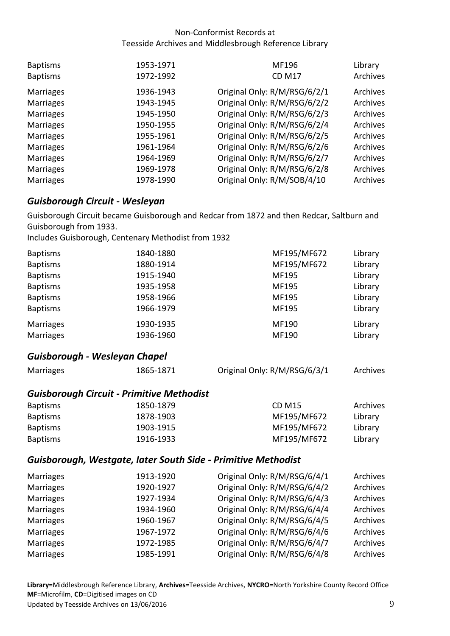| <b>Baptisms</b><br><b>Baptisms</b> | 1953-1971<br>1972-1992 | MF196<br><b>CD M17</b>       | Library<br>Archives |
|------------------------------------|------------------------|------------------------------|---------------------|
| <b>Marriages</b>                   | 1936-1943              | Original Only: R/M/RSG/6/2/1 | Archives            |
| <b>Marriages</b>                   | 1943-1945              | Original Only: R/M/RSG/6/2/2 | Archives            |
| <b>Marriages</b>                   | 1945-1950              | Original Only: R/M/RSG/6/2/3 | Archives            |
| <b>Marriages</b>                   | 1950-1955              | Original Only: R/M/RSG/6/2/4 | Archives            |
| <b>Marriages</b>                   | 1955-1961              | Original Only: R/M/RSG/6/2/5 | Archives            |
| <b>Marriages</b>                   | 1961-1964              | Original Only: R/M/RSG/6/2/6 | Archives            |
| <b>Marriages</b>                   | 1964-1969              | Original Only: R/M/RSG/6/2/7 | Archives            |
| <b>Marriages</b>                   | 1969-1978              | Original Only: R/M/RSG/6/2/8 | Archives            |
| <b>Marriages</b>                   | 1978-1990              | Original Only: R/M/SOB/4/10  | Archives            |

## <span id="page-8-0"></span>*Guisborough Circuit - Wesleyan*

Guisborough Circuit became Guisborough and Redcar from 1872 and then Redcar, Saltburn and Guisborough from 1933.

Includes Guisborough, Centenary Methodist from 1932

| <b>Baptisms</b>  | 1840-1880 | MF195/MF672 | Library |
|------------------|-----------|-------------|---------|
| <b>Baptisms</b>  | 1880-1914 | MF195/MF672 | Library |
| <b>Baptisms</b>  | 1915-1940 | MF195       | Library |
| <b>Baptisms</b>  | 1935-1958 | MF195       | Library |
| <b>Baptisms</b>  | 1958-1966 | MF195       | Library |
| <b>Baptisms</b>  | 1966-1979 | MF195       | Library |
| <b>Marriages</b> | 1930-1935 | MF190       | Library |
| <b>Marriages</b> | 1936-1960 | MF190       | Library |

#### <span id="page-8-1"></span>*Guisborough - Wesleyan Chapel*

| Marriages       | 1865-1871                                        | Original Only: R/M/RSG/6/3/1 | Archives |
|-----------------|--------------------------------------------------|------------------------------|----------|
|                 | <b>Guisborough Circuit - Primitive Methodist</b> |                              |          |
| <b>Baptisms</b> | 1850-1879                                        | <b>CD M15</b>                | Archives |
| <b>Baptisms</b> | 1878-1903                                        | MF195/MF672                  | Library  |
| <b>Baptisms</b> | 1903-1915                                        | MF195/MF672                  | Library  |
| <b>Baptisms</b> | 1916-1933                                        | MF195/MF672                  | Library  |

#### <span id="page-8-2"></span>*Guisborough, Westgate, later South Side - Primitive Methodist*

| Marriages        | 1913-1920 | Original Only: R/M/RSG/6/4/1 | Archives |
|------------------|-----------|------------------------------|----------|
| <b>Marriages</b> | 1920-1927 | Original Only: R/M/RSG/6/4/2 | Archives |
| <b>Marriages</b> | 1927-1934 | Original Only: R/M/RSG/6/4/3 | Archives |
| <b>Marriages</b> | 1934-1960 | Original Only: R/M/RSG/6/4/4 | Archives |
| <b>Marriages</b> | 1960-1967 | Original Only: R/M/RSG/6/4/5 | Archives |
| <b>Marriages</b> | 1967-1972 | Original Only: R/M/RSG/6/4/6 | Archives |
| <b>Marriages</b> | 1972-1985 | Original Only: R/M/RSG/6/4/7 | Archives |
| <b>Marriages</b> | 1985-1991 | Original Only: R/M/RSG/6/4/8 | Archives |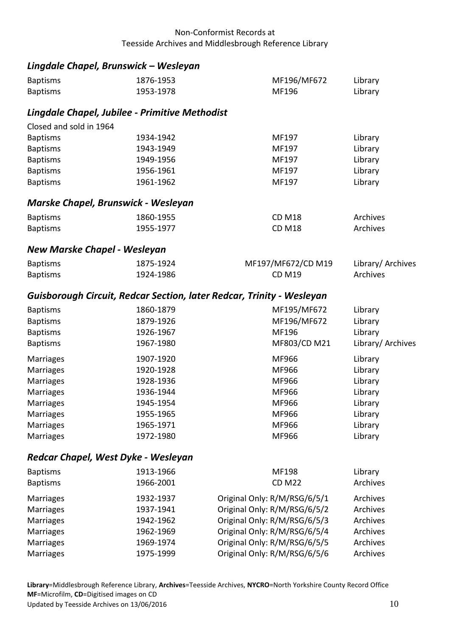## <span id="page-9-0"></span>*Lingdale Chapel, Brunswick – Wesleyan*

<span id="page-9-3"></span><span id="page-9-2"></span><span id="page-9-1"></span>

| <b>Baptisms</b>                     | 1876-1953                                      | MF196/MF672                                                           | Library           |
|-------------------------------------|------------------------------------------------|-----------------------------------------------------------------------|-------------------|
| <b>Baptisms</b>                     | 1953-1978                                      | MF196                                                                 | Library           |
|                                     | Lingdale Chapel, Jubilee - Primitive Methodist |                                                                       |                   |
| Closed and sold in 1964             |                                                |                                                                       |                   |
| <b>Baptisms</b>                     | 1934-1942                                      | MF197                                                                 | Library           |
| <b>Baptisms</b>                     | 1943-1949                                      | MF197                                                                 | Library           |
| <b>Baptisms</b>                     | 1949-1956                                      | MF197                                                                 | Library           |
| <b>Baptisms</b>                     | 1956-1961                                      | MF197                                                                 | Library           |
| <b>Baptisms</b>                     | 1961-1962                                      | MF197                                                                 | Library           |
| Marske Chapel, Brunswick - Wesleyan |                                                |                                                                       |                   |
| <b>Baptisms</b>                     | 1860-1955                                      | <b>CD M18</b>                                                         | Archives          |
| <b>Baptisms</b>                     | 1955-1977                                      | <b>CD M18</b>                                                         | Archives          |
| <b>New Marske Chapel - Wesleyan</b> |                                                |                                                                       |                   |
| <b>Baptisms</b>                     | 1875-1924                                      | MF197/MF672/CD M19                                                    | Library/ Archives |
| <b>Baptisms</b>                     | 1924-1986                                      | <b>CD M19</b>                                                         | Archives          |
|                                     |                                                | Guisborough Circuit, Redcar Section, later Redcar, Trinity - Wesleyan |                   |
| <b>Baptisms</b>                     | 1860-1879                                      | MF195/MF672                                                           | Library           |
| <b>Baptisms</b>                     | 1879-1926                                      | MF196/MF672                                                           | Library           |
| <b>Baptisms</b>                     | 1926-1967                                      | MF196                                                                 | Library           |
| <b>Baptisms</b>                     | 1967-1980                                      | MF803/CD M21                                                          | Library/ Archives |
| <b>Marriages</b>                    | 1907-1920                                      | MF966                                                                 | Library           |
| <b>Marriages</b>                    | 1920-1928                                      | MF966                                                                 | Library           |
| <b>Marriages</b>                    | 1928-1936                                      | MF966                                                                 | Library           |
| <b>Marriages</b>                    | 1936-1944                                      | MF966                                                                 | Library           |
| <b>Marriages</b>                    | 1945-1954                                      | MF966                                                                 | Library           |
| <b>Marriages</b>                    | 1955-1965                                      | MF966                                                                 | Library           |
| <b>Marriages</b>                    | 1965-1971                                      | MF966                                                                 | Library           |
| <b>Marriages</b>                    | 1972-1980                                      | MF966                                                                 | Library           |
| Redcar Chapel, West Dyke - Wesleyan |                                                |                                                                       |                   |
| <b>Baptisms</b>                     | 1913-1966                                      | MF198                                                                 | Library           |
|                                     |                                                |                                                                       |                   |

<span id="page-9-5"></span><span id="page-9-4"></span>

| 1966-2001 | <b>CD M22</b>                | Archives                                                                                     |
|-----------|------------------------------|----------------------------------------------------------------------------------------------|
| 1932-1937 | Original Only: R/M/RSG/6/5/1 | Archives                                                                                     |
| 1937-1941 |                              | Archives                                                                                     |
| 1942-1962 | Original Only: R/M/RSG/6/5/3 | Archives                                                                                     |
| 1962-1969 |                              | Archives                                                                                     |
| 1969-1974 | Original Only: R/M/RSG/6/5/5 | Archives                                                                                     |
| 1975-1999 |                              | Archives                                                                                     |
|           |                              | Original Only: R/M/RSG/6/5/2<br>Original Only: R/M/RSG/6/5/4<br>Original Only: R/M/RSG/6/5/6 |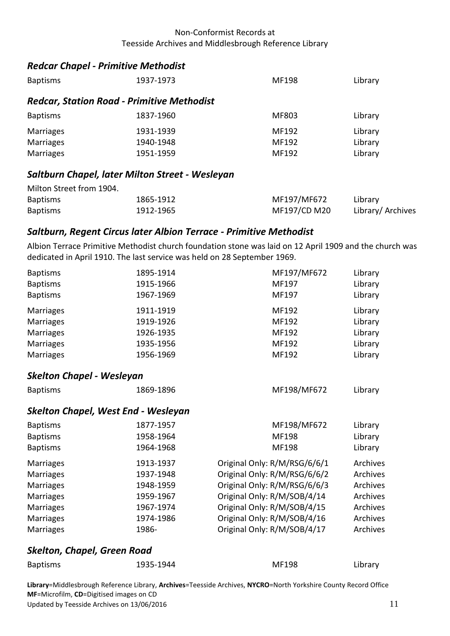## <span id="page-10-0"></span>*Redcar Chapel - Primitive Methodist*

<span id="page-10-1"></span>

| <b>Baptisms</b>                                 | 1937-1973                                         | MF198 | Library |  |
|-------------------------------------------------|---------------------------------------------------|-------|---------|--|
|                                                 | <b>Redcar, Station Road - Primitive Methodist</b> |       |         |  |
| <b>Baptisms</b>                                 | 1837-1960                                         | MF803 | Library |  |
| <b>Marriages</b>                                | 1931-1939                                         | MF192 | Library |  |
| <b>Marriages</b>                                | 1940-1948                                         | MF192 | Library |  |
| <b>Marriages</b>                                | 1951-1959                                         | MF192 | Library |  |
| Saltburn Chapel, later Milton Street - Wesleyan |                                                   |       |         |  |

### <span id="page-10-2"></span>Milton Street from 1904. Baptisms 1865-1912 MF197/MF672 Library Baptisms 1912-1965 MF197/CD M20 Library/ Archives

#### <span id="page-10-3"></span>*Saltburn, Regent Circus later Albion Terrace - Primitive Methodist*

Albion Terrace Primitive Methodist church foundation stone was laid on 12 April 1909 and the church was dedicated in April 1910. The last service was held on 28 September 1969.

<span id="page-10-5"></span><span id="page-10-4"></span>

| <b>Baptisms</b>                    | 1895-1914                                  | MF197/MF672                  | Library  |
|------------------------------------|--------------------------------------------|------------------------------|----------|
| <b>Baptisms</b>                    | 1915-1966                                  | MF197                        | Library  |
| <b>Baptisms</b>                    | 1967-1969                                  | MF197                        | Library  |
| <b>Marriages</b>                   | 1911-1919                                  | MF192                        | Library  |
| <b>Marriages</b>                   | 1919-1926                                  | MF192                        | Library  |
| <b>Marriages</b>                   | 1926-1935                                  | MF192                        | Library  |
| <b>Marriages</b>                   | 1935-1956                                  | MF192                        | Library  |
| Marriages                          | 1956-1969                                  | MF192                        | Library  |
| <b>Skelton Chapel - Wesleyan</b>   |                                            |                              |          |
| <b>Baptisms</b>                    | 1869-1896                                  | MF198/MF672                  | Library  |
|                                    | <b>Skelton Chapel, West End - Wesleyan</b> |                              |          |
| <b>Baptisms</b>                    | 1877-1957                                  | MF198/MF672                  | Library  |
| <b>Baptisms</b>                    | 1958-1964                                  | MF198                        | Library  |
| <b>Baptisms</b>                    | 1964-1968                                  | MF198                        | Library  |
| <b>Marriages</b>                   | 1913-1937                                  | Original Only: R/M/RSG/6/6/1 | Archives |
| <b>Marriages</b>                   | 1937-1948                                  | Original Only: R/M/RSG/6/6/2 | Archives |
| <b>Marriages</b>                   | 1948-1959                                  | Original Only: R/M/RSG/6/6/3 | Archives |
| <b>Marriages</b>                   | 1959-1967                                  | Original Only: R/M/SOB/4/14  | Archives |
| Marriages                          | 1967-1974                                  | Original Only: R/M/SOB/4/15  | Archives |
| <b>Marriages</b>                   | 1974-1986                                  | Original Only: R/M/SOB/4/16  | Archives |
| Marriages                          | 1986-                                      | Original Only: R/M/SOB/4/17  | Archives |
| <b>Skelton, Chapel, Green Road</b> |                                            |                              |          |

<span id="page-10-6"></span>

| <b>Baptisms</b> | 1935-1944 | <b>MF198</b> | Library |
|-----------------|-----------|--------------|---------|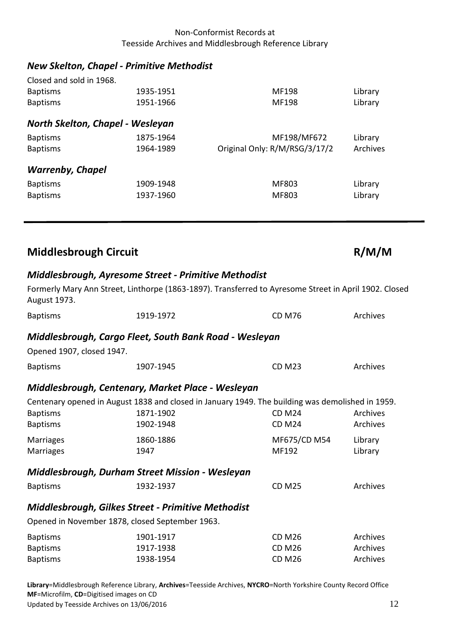# <span id="page-11-0"></span>*New Skelton, Chapel - Primitive Methodist*

<span id="page-11-2"></span><span id="page-11-1"></span>

| Closed and sold in 1968.         |           |                               |          |
|----------------------------------|-----------|-------------------------------|----------|
| <b>Baptisms</b>                  | 1935-1951 | MF198                         | Library  |
| <b>Baptisms</b>                  | 1951-1966 | MF198                         | Library  |
| North Skelton, Chapel - Wesleyan |           |                               |          |
| <b>Baptisms</b>                  | 1875-1964 | MF198/MF672                   | Library  |
| <b>Baptisms</b>                  | 1964-1989 | Original Only: R/M/RSG/3/17/2 | Archives |
| <b>Warrenby, Chapel</b>          |           |                               |          |
| <b>Baptisms</b>                  | 1909-1948 | MF803                         | Library  |
| <b>Baptisms</b>                  | 1937-1960 | MF803                         | Library  |

<span id="page-11-3"></span>

| <b>Middlesbrough Circuit</b> | R/M/M |
|------------------------------|-------|
|                              |       |

## <span id="page-11-4"></span>*Middlesbrough, Ayresome Street - Primitive Methodist*

<span id="page-11-8"></span><span id="page-11-7"></span><span id="page-11-6"></span><span id="page-11-5"></span>

| <b>August 1973.</b>       |                                                        | Formerly Mary Ann Street, Linthorpe (1863-1897). Transferred to Ayresome Street in April 1902. Closed |          |
|---------------------------|--------------------------------------------------------|-------------------------------------------------------------------------------------------------------|----------|
| <b>Baptisms</b>           | 1919-1972                                              | <b>CD M76</b>                                                                                         | Archives |
|                           | Middlesbrough, Cargo Fleet, South Bank Road - Wesleyan |                                                                                                       |          |
| Opened 1907, closed 1947. |                                                        |                                                                                                       |          |
| <b>Baptisms</b>           | 1907-1945                                              | <b>CD M23</b>                                                                                         | Archives |
|                           | Middlesbrough, Centenary, Market Place - Wesleyan      |                                                                                                       |          |
|                           |                                                        | Centenary opened in August 1838 and closed in January 1949. The building was demolished in 1959.      |          |
| <b>Baptisms</b>           | 1871-1902                                              | <b>CD M24</b>                                                                                         | Archives |
| <b>Baptisms</b>           | 1902-1948                                              | <b>CD M24</b>                                                                                         | Archives |
| Marriages                 | 1860-1886                                              | MF675/CD M54                                                                                          | Library  |
| <b>Marriages</b>          | 1947                                                   | MF192                                                                                                 | Library  |
|                           | Middlesbrough, Durham Street Mission - Wesleyan        |                                                                                                       |          |
| <b>Baptisms</b>           | 1932-1937                                              | <b>CD M25</b>                                                                                         | Archives |
|                           | Middlesbrough, Gilkes Street - Primitive Methodist     |                                                                                                       |          |
|                           | Opened in November 1878, closed September 1963.        |                                                                                                       |          |
| <b>Baptisms</b>           | 1901-1917                                              | <b>CD M26</b>                                                                                         | Archives |
| <b>Baptisms</b>           | 1917-1938                                              | <b>CD M26</b>                                                                                         | Archives |
| <b>Baptisms</b>           | 1938-1954                                              | <b>CD M26</b>                                                                                         | Archives |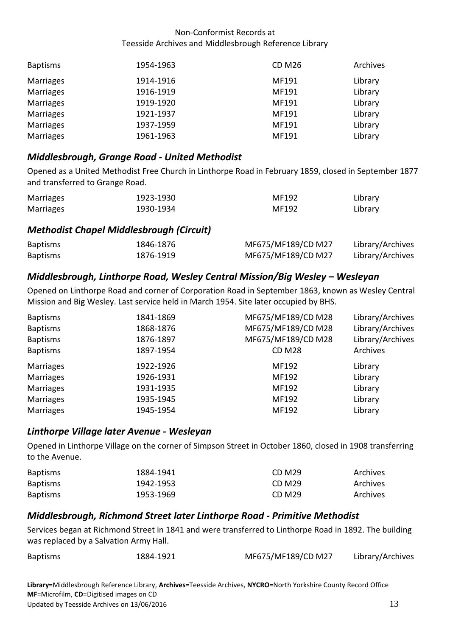| <b>Baptisms</b> | 1954-1963 | <b>CD M26</b> | Archives |
|-----------------|-----------|---------------|----------|
| Marriages       | 1914-1916 | MF191         | Library  |
| Marriages       | 1916-1919 | MF191         | Library  |
| Marriages       | 1919-1920 | MF191         | Library  |
| Marriages       | 1921-1937 | MF191         | Library  |
| Marriages       | 1937-1959 | MF191         | Library  |
| Marriages       | 1961-1963 | MF191         | Library  |

## <span id="page-12-0"></span>*Middlesbrough, Grange Road - United Methodist*

Opened as a United Methodist Free Church in Linthorpe Road in February 1859, closed in September 1877 and transferred to Grange Road.

| Marriages | 1923-1930 | MF192 | Library |
|-----------|-----------|-------|---------|
| Marriages | 1930-1934 | MF192 | Library |

## <span id="page-12-1"></span>*Methodist Chapel Middlesbrough (Circuit)*

| <b>Baptisms</b> | 1846-1876 | MF675/MF189/CD M27 | Library/Archives |
|-----------------|-----------|--------------------|------------------|
| <b>Baptisms</b> | 1876-1919 | MF675/MF189/CD M27 | Library/Archives |

## <span id="page-12-2"></span>*Middlesbrough, Linthorpe Road, Wesley Central Mission/Big Wesley – Wesleyan*

Opened on Linthorpe Road and corner of Corporation Road in September 1863, known as Wesley Central Mission and Big Wesley. Last service held in March 1954. Site later occupied by BHS.

| <b>Baptisms</b>  | 1841-1869 | MF675/MF189/CD M28 | Library/Archives |
|------------------|-----------|--------------------|------------------|
| <b>Baptisms</b>  | 1868-1876 | MF675/MF189/CD M28 | Library/Archives |
| <b>Baptisms</b>  | 1876-1897 | MF675/MF189/CD M28 | Library/Archives |
| <b>Baptisms</b>  | 1897-1954 | <b>CD M28</b>      | Archives         |
| <b>Marriages</b> | 1922-1926 | MF192              | Library          |
| <b>Marriages</b> | 1926-1931 | MF192              | Library          |
| <b>Marriages</b> | 1931-1935 | MF192              | Library          |
| <b>Marriages</b> | 1935-1945 | MF192              | Library          |
| <b>Marriages</b> | 1945-1954 | MF192              | Library          |
|                  |           |                    |                  |

## <span id="page-12-3"></span>*Linthorpe Village later Avenue - Wesleyan*

Opened in Linthorpe Village on the corner of Simpson Street in October 1860, closed in 1908 transferring to the Avenue.

| <b>Baptisms</b> | 1884-1941 | CD M <sub>29</sub> | Archives |
|-----------------|-----------|--------------------|----------|
| <b>Baptisms</b> | 1942-1953 | CD M <sub>29</sub> | Archives |
| <b>Baptisms</b> | 1953-1969 | CD M <sub>29</sub> | Archives |

## <span id="page-12-4"></span>*Middlesbrough, Richmond Street later Linthorpe Road - Primitive Methodist*

Services began at Richmond Street in 1841 and were transferred to Linthorpe Road in 1892. The building was replaced by a Salvation Army Hall.

| <b>Baptisms</b> | 1884-1921 | MF675/MF189/CD M27 | Library/Archives |
|-----------------|-----------|--------------------|------------------|
|-----------------|-----------|--------------------|------------------|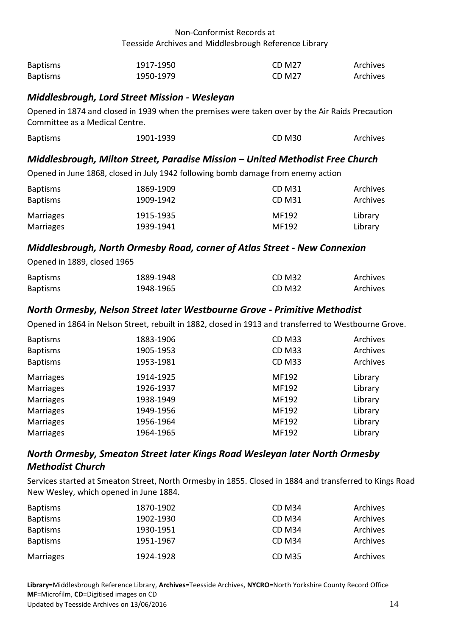| <b>Baptisms</b> | 1917-1950 | CD M <sub>27</sub> | Archives |
|-----------------|-----------|--------------------|----------|
| <b>Baptisms</b> | 1950-1979 | CD M27             | Archives |

## <span id="page-13-0"></span>*Middlesbrough, Lord Street Mission - Wesleyan*

Opened in 1874 and closed in 1939 when the premises were taken over by the Air Raids Precaution Committee as a Medical Centre.

| <b>Baptisms</b> | 1901-1939 | <b>CD M30</b> | Archives |
|-----------------|-----------|---------------|----------|
|                 |           |               |          |

#### <span id="page-13-1"></span>*Middlesbrough, Milton Street, Paradise Mission – United Methodist Free Church*

Opened in June 1868, closed in July 1942 following bomb damage from enemy action

| <b>Baptisms</b> | 1869-1909 | CD M31 | Archives |
|-----------------|-----------|--------|----------|
| <b>Baptisms</b> | 1909-1942 | CD M31 | Archives |
| Marriages       | 1915-1935 | MF192  | Library  |
| Marriages       | 1939-1941 | MF192  | Library  |

## <span id="page-13-2"></span>*Middlesbrough, North Ormesby Road, corner of Atlas Street - New Connexion*

Opened in 1889, closed 1965

| <b>Baptisms</b> | 1889-1948 | CD M32 | Archives |
|-----------------|-----------|--------|----------|
| <b>Baptisms</b> | 1948-1965 | CD M32 | Archives |

#### <span id="page-13-3"></span>*North Ormesby, Nelson Street later Westbourne Grove - Primitive Methodist*

Opened in 1864 in Nelson Street, rebuilt in 1882, closed in 1913 and transferred to Westbourne Grove.

| <b>Baptisms</b><br><b>Baptisms</b> | 1883-1906<br>1905-1953 | <b>CD M33</b><br><b>CD M33</b> | Archives<br>Archives |
|------------------------------------|------------------------|--------------------------------|----------------------|
| <b>Baptisms</b>                    | 1953-1981              | <b>CD M33</b>                  | Archives             |
| Marriages                          | 1914-1925              | MF192                          | Library              |
| Marriages                          | 1926-1937              | MF192                          | Library              |
| Marriages                          | 1938-1949              | MF192                          | Library              |
| Marriages                          | 1949-1956              | MF192                          | Library              |
| Marriages                          | 1956-1964              | MF192                          | Library              |
| <b>Marriages</b>                   | 1964-1965              | MF192                          | Library              |

## <span id="page-13-4"></span>*North Ormesby, Smeaton Street later Kings Road Wesleyan later North Ormesby Methodist Church*

Services started at Smeaton Street, North Ormesby in 1855. Closed in 1884 and transferred to Kings Road New Wesley, which opened in June 1884.

| <b>Baptisms</b> | 1870-1902 | <b>CD M34</b> | Archives |
|-----------------|-----------|---------------|----------|
| <b>Baptisms</b> | 1902-1930 | <b>CD M34</b> | Archives |
| <b>Baptisms</b> | 1930-1951 | <b>CD M34</b> | Archives |
| <b>Baptisms</b> | 1951-1967 | <b>CD M34</b> | Archives |
| Marriages       | 1924-1928 | <b>CD M35</b> | Archives |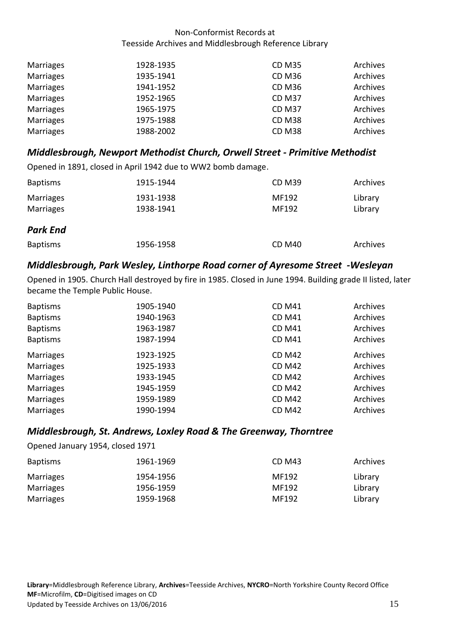| Marriages | 1928-1935 | <b>CD M35</b> | Archives |
|-----------|-----------|---------------|----------|
| Marriages | 1935-1941 | <b>CD M36</b> | Archives |
| Marriages | 1941-1952 | <b>CD M36</b> | Archives |
| Marriages | 1952-1965 | <b>CD M37</b> | Archives |
| Marriages | 1965-1975 | <b>CD M37</b> | Archives |
| Marriages | 1975-1988 | <b>CD M38</b> | Archives |
| Marriages | 1988-2002 | <b>CD M38</b> | Archives |

## <span id="page-14-0"></span>*Middlesbrough, Newport Methodist Church, Orwell Street - Primitive Methodist*

Opened in 1891, closed in April 1942 due to WW2 bomb damage.

<span id="page-14-1"></span>

| <b>Baptisms</b>               | 1915-1944              | <b>CD M39</b>  | Archives           |
|-------------------------------|------------------------|----------------|--------------------|
| <b>Marriages</b><br>Marriages | 1931-1938<br>1938-1941 | MF192<br>MF192 | Library<br>Library |
| <b>Park End</b>               |                        |                |                    |
| <b>Baptisms</b>               | 1956-1958              | <b>CD M40</b>  | Archives           |

## <span id="page-14-2"></span>*Middlesbrough, Park Wesley, Linthorpe Road corner of Ayresome Street -Wesleyan*

Opened in 1905. Church Hall destroyed by fire in 1985. Closed in June 1994. Building grade II listed, later became the Temple Public House.

| <b>Baptisms</b>  | 1905-1940 | <b>CD M41</b> | Archives |
|------------------|-----------|---------------|----------|
| <b>Baptisms</b>  | 1940-1963 | <b>CD M41</b> | Archives |
| <b>Baptisms</b>  | 1963-1987 | <b>CD M41</b> | Archives |
| <b>Baptisms</b>  | 1987-1994 | <b>CD M41</b> | Archives |
| <b>Marriages</b> | 1923-1925 | <b>CD M42</b> | Archives |
| <b>Marriages</b> | 1925-1933 | <b>CD M42</b> | Archives |
| <b>Marriages</b> | 1933-1945 | <b>CD M42</b> | Archives |
| <b>Marriages</b> | 1945-1959 | <b>CD M42</b> | Archives |
| <b>Marriages</b> | 1959-1989 | <b>CD M42</b> | Archives |
| <b>Marriages</b> | 1990-1994 | <b>CD M42</b> | Archives |

#### <span id="page-14-3"></span>*Middlesbrough, St. Andrews, Loxley Road & The Greenway, Thorntree*

Opened January 1954, closed 1971

| <b>Baptisms</b> | 1961-1969 | CD M43 | Archives |
|-----------------|-----------|--------|----------|
| Marriages       | 1954-1956 | MF192  | Library  |
| Marriages       | 1956-1959 | MF192  | Library  |
| Marriages       | 1959-1968 | MF192  | Library  |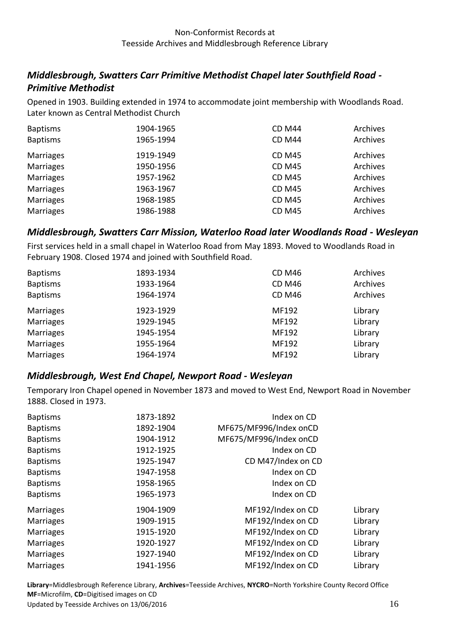## <span id="page-15-0"></span>*Middlesbrough, Swatters Carr Primitive Methodist Chapel later Southfield Road - Primitive Methodist*

Opened in 1903. Building extended in 1974 to accommodate joint membership with Woodlands Road. Later known as Central Methodist Church

| <b>Baptisms</b><br><b>Baptisms</b> | 1904-1965<br>1965-1994 | <b>CD M44</b><br><b>CD M44</b> | Archives<br>Archives |
|------------------------------------|------------------------|--------------------------------|----------------------|
|                                    |                        |                                |                      |
| <b>Marriages</b>                   | 1919-1949              | <b>CD M45</b>                  | Archives             |
| <b>Marriages</b>                   | 1950-1956              | <b>CD M45</b>                  | Archives             |
| <b>Marriages</b>                   | 1957-1962              | <b>CD M45</b>                  | Archives             |
| <b>Marriages</b>                   | 1963-1967              | <b>CD M45</b>                  | Archives             |
| <b>Marriages</b>                   | 1968-1985              | <b>CD M45</b>                  | Archives             |
| Marriages                          | 1986-1988              | <b>CD M45</b>                  | Archives             |

## <span id="page-15-1"></span>*Middlesbrough, Swatters Carr Mission, Waterloo Road later Woodlands Road - Wesleyan*

First services held in a small chapel in Waterloo Road from May 1893. Moved to Woodlands Road in February 1908. Closed 1974 and joined with Southfield Road.

| <b>Baptisms</b>  | 1893-1934 | <b>CD M46</b> | Archives |
|------------------|-----------|---------------|----------|
| <b>Baptisms</b>  | 1933-1964 | <b>CD M46</b> | Archives |
| <b>Baptisms</b>  | 1964-1974 | <b>CD M46</b> | Archives |
| <b>Marriages</b> | 1923-1929 | MF192         | Library  |
| <b>Marriages</b> | 1929-1945 | MF192         | Library  |
| <b>Marriages</b> | 1945-1954 | MF192         | Library  |
| <b>Marriages</b> | 1955-1964 | MF192         | Library  |
| <b>Marriages</b> | 1964-1974 | MF192         | Library  |

#### <span id="page-15-2"></span>*Middlesbrough, West End Chapel, Newport Road - Wesleyan*

Temporary Iron Chapel opened in November 1873 and moved to West End, Newport Road in November 1888. Closed in 1973.

| <b>Baptisms</b>  | 1873-1892 | Index on CD            |         |
|------------------|-----------|------------------------|---------|
| <b>Baptisms</b>  | 1892-1904 | MF675/MF996/Index onCD |         |
| <b>Baptisms</b>  | 1904-1912 | MF675/MF996/Index onCD |         |
| <b>Baptisms</b>  | 1912-1925 | Index on CD            |         |
| <b>Baptisms</b>  | 1925-1947 | CD M47/Index on CD     |         |
| <b>Baptisms</b>  | 1947-1958 | Index on CD            |         |
| <b>Baptisms</b>  | 1958-1965 | Index on CD            |         |
| <b>Baptisms</b>  | 1965-1973 | Index on CD            |         |
| <b>Marriages</b> | 1904-1909 | MF192/Index on CD      | Library |
| <b>Marriages</b> | 1909-1915 | MF192/Index on CD      | Library |
| <b>Marriages</b> | 1915-1920 | MF192/Index on CD      | Library |
| <b>Marriages</b> | 1920-1927 | MF192/Index on CD      | Library |
| <b>Marriages</b> | 1927-1940 | MF192/Index on CD      | Library |
| <b>Marriages</b> | 1941-1956 | MF192/Index on CD      | Library |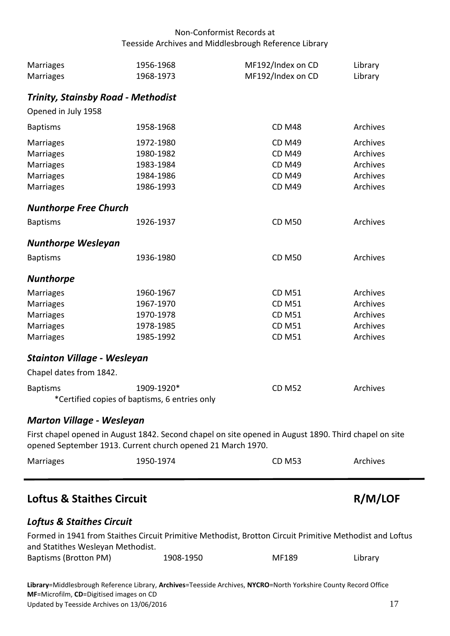<span id="page-16-7"></span><span id="page-16-6"></span><span id="page-16-5"></span><span id="page-16-4"></span><span id="page-16-3"></span><span id="page-16-2"></span><span id="page-16-1"></span><span id="page-16-0"></span>

| Marriages<br>Marriages                                        | 1956-1968<br>1968-1973                                                                                                                                               | MF192/Index on CD<br>MF192/Index on CD                                            | Library<br>Library                                       |
|---------------------------------------------------------------|----------------------------------------------------------------------------------------------------------------------------------------------------------------------|-----------------------------------------------------------------------------------|----------------------------------------------------------|
| <b>Trinity, Stainsby Road - Methodist</b>                     |                                                                                                                                                                      |                                                                                   |                                                          |
| Opened in July 1958                                           |                                                                                                                                                                      |                                                                                   |                                                          |
| <b>Baptisms</b>                                               | 1958-1968                                                                                                                                                            | <b>CD M48</b>                                                                     | Archives                                                 |
| Marriages<br>Marriages<br>Marriages<br>Marriages<br>Marriages | 1972-1980<br>1980-1982<br>1983-1984<br>1984-1986<br>1986-1993                                                                                                        | <b>CD M49</b><br><b>CD M49</b><br><b>CD M49</b><br><b>CD M49</b><br><b>CD M49</b> | Archives<br>Archives<br>Archives<br>Archives<br>Archives |
| <b>Nunthorpe Free Church</b>                                  |                                                                                                                                                                      |                                                                                   |                                                          |
| <b>Baptisms</b>                                               | 1926-1937                                                                                                                                                            | <b>CD M50</b>                                                                     | Archives                                                 |
| <b>Nunthorpe Wesleyan</b>                                     |                                                                                                                                                                      |                                                                                   |                                                          |
| <b>Baptisms</b>                                               | 1936-1980                                                                                                                                                            | <b>CD M50</b>                                                                     | Archives                                                 |
| <b>Nunthorpe</b>                                              |                                                                                                                                                                      |                                                                                   |                                                          |
| <b>Marriages</b>                                              | 1960-1967                                                                                                                                                            | <b>CD M51</b>                                                                     | Archives                                                 |
| Marriages                                                     | 1967-1970                                                                                                                                                            | <b>CD M51</b>                                                                     | Archives                                                 |
| Marriages                                                     | 1970-1978                                                                                                                                                            | <b>CD M51</b>                                                                     | Archives                                                 |
| Marriages                                                     | 1978-1985                                                                                                                                                            | <b>CD M51</b>                                                                     | Archives                                                 |
| Marriages                                                     | 1985-1992                                                                                                                                                            | <b>CD M51</b>                                                                     | Archives                                                 |
| <b>Stainton Village - Wesleyan</b>                            |                                                                                                                                                                      |                                                                                   |                                                          |
| Chapel dates from 1842.                                       |                                                                                                                                                                      |                                                                                   |                                                          |
| <b>Baptisms</b>                                               | 1909-1920*<br>*Certified copies of baptisms, 6 entries only                                                                                                          | <b>CD M52</b>                                                                     | Archives                                                 |
| <b>Marton Village - Wesleyan</b>                              |                                                                                                                                                                      |                                                                                   |                                                          |
|                                                               | First chapel opened in August 1842. Second chapel on site opened in August 1890. Third chapel on site<br>opened September 1913. Current church opened 21 March 1970. |                                                                                   |                                                          |
| Marriages                                                     | 1950-1974                                                                                                                                                            | <b>CD M53</b>                                                                     | Archives                                                 |
| <b>Loftus &amp; Staithes Circuit</b>                          |                                                                                                                                                                      |                                                                                   | R/M/LOF                                                  |
| <b>Loftus &amp; Staithes Circuit</b>                          |                                                                                                                                                                      |                                                                                   |                                                          |
| and Statithes Wesleyan Methodist.                             | Formed in 1941 from Staithes Circuit Primitive Methodist, Brotton Circuit Primitive Methodist and Loftus                                                             |                                                                                   |                                                          |
| <b>Baptisms (Brotton PM)</b>                                  | 1908-1950                                                                                                                                                            | MF189                                                                             | Library                                                  |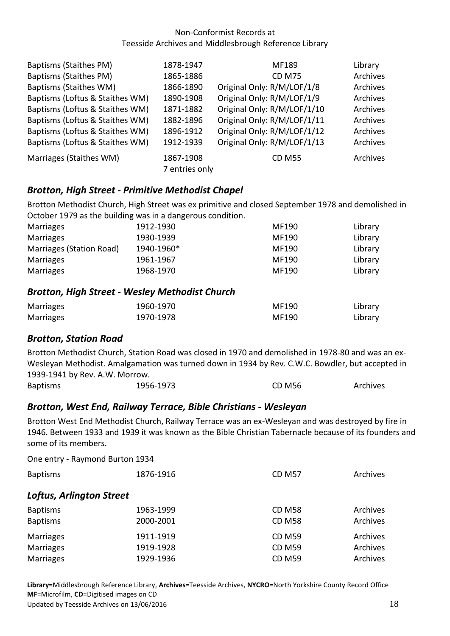| Baptisms (Staithes PM)          | 1878-1947      | MF189                       | Library  |
|---------------------------------|----------------|-----------------------------|----------|
| <b>Baptisms (Staithes PM)</b>   | 1865-1886      | <b>CD M75</b>               | Archives |
| Baptisms (Staithes WM)          | 1866-1890      | Original Only: R/M/LOF/1/8  | Archives |
| Baptisms (Loftus & Staithes WM) | 1890-1908      | Original Only: R/M/LOF/1/9  | Archives |
| Baptisms (Loftus & Staithes WM) | 1871-1882      | Original Only: R/M/LOF/1/10 | Archives |
| Baptisms (Loftus & Staithes WM) | 1882-1896      | Original Only: R/M/LOF/1/11 | Archives |
| Baptisms (Loftus & Staithes WM) | 1896-1912      | Original Only: R/M/LOF/1/12 | Archives |
| Baptisms (Loftus & Staithes WM) | 1912-1939      | Original Only: R/M/LOF/1/13 | Archives |
| Marriages (Staithes WM)         | 1867-1908      | <b>CD M55</b>               | Archives |
|                                 | 7 entries only |                             |          |

## <span id="page-17-0"></span>*Brotton, High Street - Primitive Methodist Chapel*

Brotton Methodist Church, High Street was ex primitive and closed September 1978 and demolished in October 1979 as the building was in a dangerous condition.

| Marriages                | 1912-1930  | MF190 | Library |
|--------------------------|------------|-------|---------|
| Marriages                | 1930-1939  | MF190 | Library |
| Marriages (Station Road) | 1940-1960* | MF190 | Library |
| Marriages                | 1961-1967  | MF190 | Library |
| Marriages                | 1968-1970  | MF190 | Library |

#### <span id="page-17-1"></span>*Brotton, High Street - Wesley Methodist Church*

| Marriages | 1960-1970 | MF190 | Library |
|-----------|-----------|-------|---------|
| Marriages | 1970-1978 | MF190 | Library |

## <span id="page-17-2"></span>*Brotton, Station Road*

Brotton Methodist Church, Station Road was closed in 1970 and demolished in 1978-80 and was an ex-Wesleyan Methodist. Amalgamation was turned down in 1934 by Rev. C.W.C. Bowdler, but accepted in 1939-1941 by Rev. A.W. Morrow.

<span id="page-17-3"></span>

| 1956-1973<br><b>CD M56</b><br><b>Baptisms</b><br>Archives |
|-----------------------------------------------------------|
|-----------------------------------------------------------|

## *Brotton, West End, Railway Terrace, Bible Christians - Wesleyan*

Brotton West End Methodist Church, Railway Terrace was an ex-Wesleyan and was destroyed by fire in 1946. Between 1933 and 1939 it was known as the Bible Christian Tabernacle because of its founders and some of its members.

<span id="page-17-4"></span>

| One entry - Raymond Burton 1934 |           |               |          |
|---------------------------------|-----------|---------------|----------|
| <b>Baptisms</b>                 | 1876-1916 | <b>CD M57</b> | Archives |
| <b>Loftus, Arlington Street</b> |           |               |          |
| <b>Baptisms</b>                 | 1963-1999 | <b>CD M58</b> | Archives |
| <b>Baptisms</b>                 | 2000-2001 | <b>CD M58</b> | Archives |
| <b>Marriages</b>                | 1911-1919 | <b>CD M59</b> | Archives |
| <b>Marriages</b>                | 1919-1928 | <b>CD M59</b> | Archives |
| <b>Marriages</b>                | 1929-1936 | <b>CD M59</b> | Archives |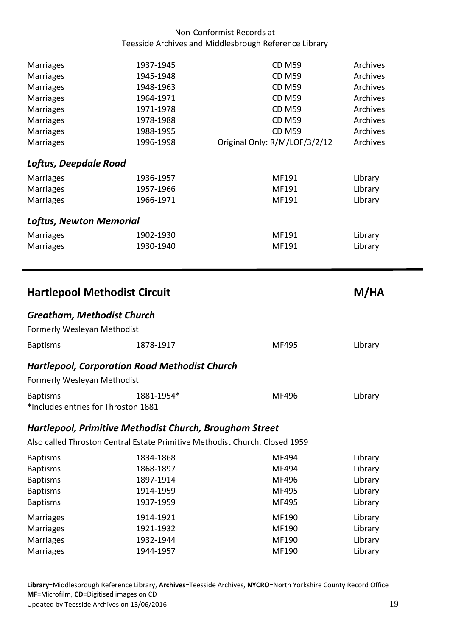<span id="page-18-5"></span><span id="page-18-4"></span><span id="page-18-3"></span><span id="page-18-2"></span><span id="page-18-1"></span><span id="page-18-0"></span>

| Marriages<br>Marriages<br>Marriages<br>Marriages<br>Marriages<br>Marriages | 1937-1945<br>1945-1948<br>1948-1963<br>1964-1971<br>1971-1978<br>1978-1988 | <b>CD M59</b><br><b>CD M59</b><br><b>CD M59</b><br><b>CD M59</b><br><b>CD M59</b><br><b>CD M59</b> | Archives<br>Archives<br>Archives<br>Archives<br>Archives<br>Archives |
|----------------------------------------------------------------------------|----------------------------------------------------------------------------|----------------------------------------------------------------------------------------------------|----------------------------------------------------------------------|
| Marriages<br><b>Marriages</b>                                              | 1988-1995<br>1996-1998                                                     | <b>CD M59</b><br>Original Only: R/M/LOF/3/2/12                                                     | Archives<br>Archives                                                 |
| Loftus, Deepdale Road                                                      |                                                                            |                                                                                                    |                                                                      |
| Marriages                                                                  | 1936-1957                                                                  | MF191                                                                                              | Library                                                              |
| Marriages<br>Marriages                                                     | 1957-1966<br>1966-1971                                                     | MF191<br>MF191                                                                                     | Library<br>Library                                                   |
| <b>Loftus, Newton Memorial</b>                                             |                                                                            |                                                                                                    |                                                                      |
| <b>Marriages</b><br>Marriages                                              | 1902-1930<br>1930-1940                                                     | MF191<br>MF191                                                                                     | Library<br>Library                                                   |
| <b>Hartlepool Methodist Circuit</b>                                        |                                                                            |                                                                                                    | M/HA                                                                 |
|                                                                            |                                                                            |                                                                                                    |                                                                      |
| <b>Greatham, Methodist Church</b><br>Formerly Wesleyan Methodist           |                                                                            |                                                                                                    |                                                                      |
| <b>Baptisms</b>                                                            | 1878-1917                                                                  | MF495                                                                                              | Library                                                              |
| Formerly Wesleyan Methodist                                                | <b>Hartlepool, Corporation Road Methodist Church</b>                       |                                                                                                    |                                                                      |
| <b>Baptisms</b><br>*Includes entries for Throston 1881                     | 1881-1954*                                                                 | MF496                                                                                              | Library                                                              |
|                                                                            | Hartlepool, Primitive Methodist Church, Brougham Street                    |                                                                                                    |                                                                      |
|                                                                            |                                                                            | Also called Throston Central Estate Primitive Methodist Church. Closed 1959                        |                                                                      |
| <b>Baptisms</b><br><b>Baptisms</b>                                         | 1834-1868<br>1868-1897                                                     | MF494<br>MF494                                                                                     | Library<br>Library                                                   |
| <b>Baptisms</b>                                                            | 1897-1914                                                                  | MF496                                                                                              | Library                                                              |
| <b>Baptisms</b><br><b>Baptisms</b>                                         | 1914-1959<br>1937-1959                                                     | MF495<br>MF495                                                                                     | Library<br>Library                                                   |
| Marriages                                                                  | 1914-1921                                                                  | MF190                                                                                              | Library                                                              |
| Marriages<br>Marriages                                                     | 1921-1932<br>1932-1944                                                     | MF190<br>MF190                                                                                     | Library<br>Library                                                   |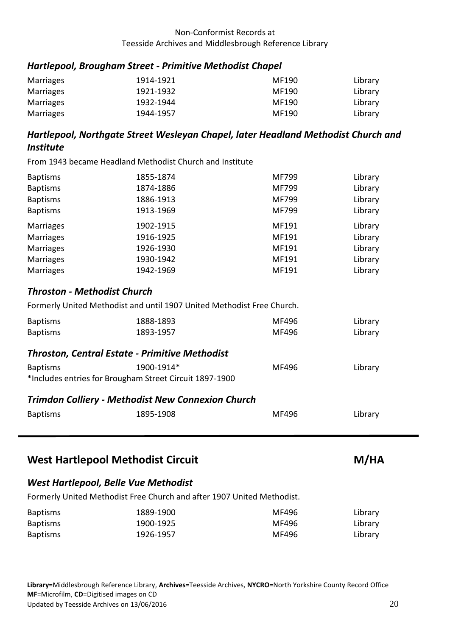## <span id="page-19-0"></span>*Hartlepool, Brougham Street - Primitive Methodist Chapel*

| Marriages        | 1914-1921 | MF190 | Library |
|------------------|-----------|-------|---------|
| <b>Marriages</b> | 1921-1932 | MF190 | Library |
| Marriages        | 1932-1944 | MF190 | Library |
| Marriages        | 1944-1957 | MF190 | Library |

## <span id="page-19-1"></span>*Hartlepool, Northgate Street Wesleyan Chapel, later Headland Methodist Church and Institute*

From 1943 became Headland Methodist Church and Institute

| <b>Baptisms</b>  | 1855-1874 | MF799 | Library |
|------------------|-----------|-------|---------|
| <b>Baptisms</b>  | 1874-1886 | MF799 | Library |
| <b>Baptisms</b>  | 1886-1913 | MF799 | Library |
| <b>Baptisms</b>  | 1913-1969 | MF799 | Library |
| <b>Marriages</b> | 1902-1915 | MF191 | Library |
| <b>Marriages</b> | 1916-1925 | MF191 | Library |
| <b>Marriages</b> | 1926-1930 | MF191 | Library |
| <b>Marriages</b> | 1930-1942 | MF191 | Library |
| <b>Marriages</b> | 1942-1969 | MF191 | Library |

## <span id="page-19-2"></span>*Throston - Methodist Church*

Formerly United Methodist and until 1907 United Methodist Free Church.

| <b>Baptisms</b> | 1888-1893 | MF496 | Library |
|-----------------|-----------|-------|---------|
| <b>Baptisms</b> | 1893-1957 | MF496 | Library |

#### <span id="page-19-3"></span>*Throston, Central Estate - Primitive Methodist*

| <b>Baptisms</b>                                         | 1900-1914* | MF496 | Library |
|---------------------------------------------------------|------------|-------|---------|
| *Includes entries for Brougham Street Circuit 1897-1900 |            |       |         |

#### <span id="page-19-4"></span>*Trimdon Colliery - Methodist New Connexion Church*

| <b>Baptisms</b> | 1895-1908 | MF496 | Library |
|-----------------|-----------|-------|---------|
|                 |           |       |         |

# <span id="page-19-5"></span>West Hartlepool Methodist Circuit Methodist Allen M/HA

## <span id="page-19-6"></span>*West Hartlepool, Belle Vue Methodist*

Formerly United Methodist Free Church and after 1907 United Methodist.

| <b>Baptisms</b> | 1889-1900 | MF496 | Library |
|-----------------|-----------|-------|---------|
| <b>Baptisms</b> | 1900-1925 | MF496 | Library |
| <b>Baptisms</b> | 1926-1957 | MF496 | Library |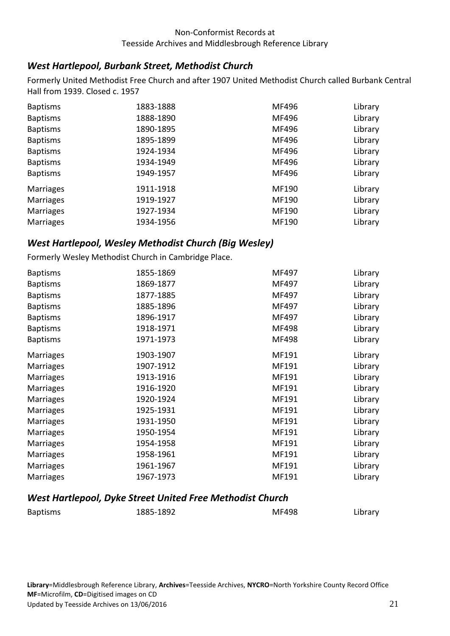## <span id="page-20-0"></span>*West Hartlepool, Burbank Street, Methodist Church*

Formerly United Methodist Free Church and after 1907 United Methodist Church called Burbank Central Hall from 1939. Closed c. 1957

| <b>Baptisms</b>  | 1883-1888 | MF496 | Library |
|------------------|-----------|-------|---------|
| <b>Baptisms</b>  | 1888-1890 | MF496 | Library |
| <b>Baptisms</b>  | 1890-1895 | MF496 | Library |
| <b>Baptisms</b>  | 1895-1899 | MF496 | Library |
| <b>Baptisms</b>  | 1924-1934 | MF496 | Library |
| <b>Baptisms</b>  | 1934-1949 | MF496 | Library |
| <b>Baptisms</b>  | 1949-1957 | MF496 | Library |
| <b>Marriages</b> | 1911-1918 | MF190 | Library |
| <b>Marriages</b> | 1919-1927 | MF190 | Library |
| <b>Marriages</b> | 1927-1934 | MF190 | Library |
| <b>Marriages</b> | 1934-1956 | MF190 | Library |

## <span id="page-20-1"></span>*West Hartlepool, Wesley Methodist Church (Big Wesley)*

Formerly Wesley Methodist Church in Cambridge Place.

| <b>Baptisms</b>  | 1855-1869 | MF497 | Library |
|------------------|-----------|-------|---------|
| <b>Baptisms</b>  | 1869-1877 | MF497 | Library |
| <b>Baptisms</b>  | 1877-1885 | MF497 | Library |
| <b>Baptisms</b>  | 1885-1896 | MF497 | Library |
| <b>Baptisms</b>  | 1896-1917 | MF497 | Library |
| <b>Baptisms</b>  | 1918-1971 | MF498 | Library |
| <b>Baptisms</b>  | 1971-1973 | MF498 | Library |
| <b>Marriages</b> | 1903-1907 | MF191 | Library |
| <b>Marriages</b> | 1907-1912 | MF191 | Library |
| <b>Marriages</b> | 1913-1916 | MF191 | Library |
| <b>Marriages</b> | 1916-1920 | MF191 | Library |
| <b>Marriages</b> | 1920-1924 | MF191 | Library |
| <b>Marriages</b> | 1925-1931 | MF191 | Library |
| <b>Marriages</b> | 1931-1950 | MF191 | Library |
| <b>Marriages</b> | 1950-1954 | MF191 | Library |
| <b>Marriages</b> | 1954-1958 | MF191 | Library |
| <b>Marriages</b> | 1958-1961 | MF191 | Library |
| <b>Marriages</b> | 1961-1967 | MF191 | Library |
| Marriages        | 1967-1973 | MF191 | Library |

#### <span id="page-20-2"></span>*West Hartlepool, Dyke Street United Free Methodist Church*

| <b>Baptisms</b> | 1885-1892 | <b>MF498</b> | Library |
|-----------------|-----------|--------------|---------|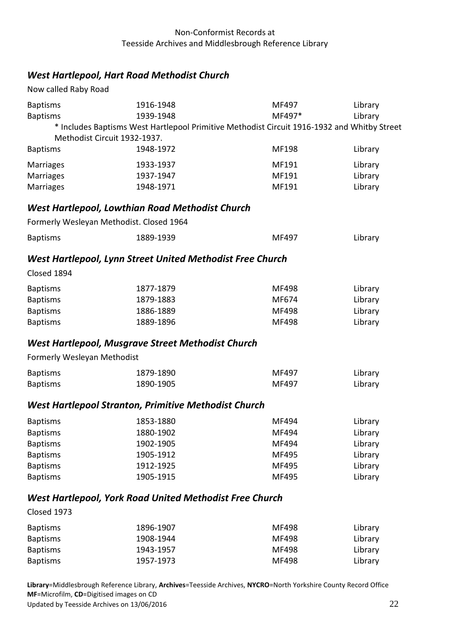## <span id="page-21-0"></span>*West Hartlepool, Hart Road Methodist Church*

<span id="page-21-5"></span><span id="page-21-4"></span><span id="page-21-3"></span><span id="page-21-2"></span><span id="page-21-1"></span>

| Now called Raby Road                                                                                           |                                                                                                                                                                    |                                                    |                                                                |
|----------------------------------------------------------------------------------------------------------------|--------------------------------------------------------------------------------------------------------------------------------------------------------------------|----------------------------------------------------|----------------------------------------------------------------|
| <b>Baptisms</b><br><b>Baptisms</b><br><b>Baptisms</b>                                                          | 1916-1948<br>1939-1948<br>* Includes Baptisms West Hartlepool Primitive Methodist Circuit 1916-1932 and Whitby Street<br>Methodist Circuit 1932-1937.<br>1948-1972 | MF497<br>MF497*<br>MF198                           | Library<br>Library<br>Library                                  |
| Marriages<br>Marriages<br>Marriages                                                                            | 1933-1937<br>1937-1947<br>1948-1971                                                                                                                                | MF191<br>MF191<br>MF191                            | Library<br>Library<br>Library                                  |
|                                                                                                                | <b>West Hartlepool, Lowthian Road Methodist Church</b>                                                                                                             |                                                    |                                                                |
|                                                                                                                | Formerly Wesleyan Methodist. Closed 1964                                                                                                                           |                                                    |                                                                |
| <b>Baptisms</b>                                                                                                | 1889-1939                                                                                                                                                          | MF497                                              | Library                                                        |
|                                                                                                                | West Hartlepool, Lynn Street United Methodist Free Church                                                                                                          |                                                    |                                                                |
| Closed 1894                                                                                                    |                                                                                                                                                                    |                                                    |                                                                |
| <b>Baptisms</b><br><b>Baptisms</b><br><b>Baptisms</b><br><b>Baptisms</b>                                       | 1877-1879<br>1879-1883<br>1886-1889<br>1889-1896                                                                                                                   | MF498<br>MF674<br><b>MF498</b><br>MF498            | Library<br>Library<br>Library<br>Library                       |
|                                                                                                                | <b>West Hartlepool, Musgrave Street Methodist Church</b>                                                                                                           |                                                    |                                                                |
| Formerly Wesleyan Methodist                                                                                    |                                                                                                                                                                    |                                                    |                                                                |
| <b>Baptisms</b><br><b>Baptisms</b>                                                                             | 1879-1890<br>1890-1905                                                                                                                                             | MF497<br>MF497                                     | Library<br>Library                                             |
|                                                                                                                | <b>West Hartlepool Stranton, Primitive Methodist Church</b>                                                                                                        |                                                    |                                                                |
| <b>Baptisms</b><br><b>Baptisms</b><br><b>Baptisms</b><br><b>Baptisms</b><br><b>Baptisms</b><br><b>Baptisms</b> | 1853-1880<br>1880-1902<br>1902-1905<br>1905-1912<br>1912-1925<br>1905-1915                                                                                         | MF494<br>MF494<br>MF494<br>MF495<br>MF495<br>MF495 | Library<br>Library<br>Library<br>Library<br>Library<br>Library |
|                                                                                                                | <b>West Hartlepool, York Road United Methodist Free Church</b>                                                                                                     |                                                    |                                                                |
| Closed 1973                                                                                                    |                                                                                                                                                                    |                                                    |                                                                |
| <b>Baptisms</b><br><b>Baptisms</b><br><b>Baptisms</b><br><b>Baptisms</b>                                       | 1896-1907<br>1908-1944<br>1943-1957<br>1957-1973                                                                                                                   | MF498<br>MF498<br>MF498<br>MF498                   | Library<br>Library<br>Library<br>Library                       |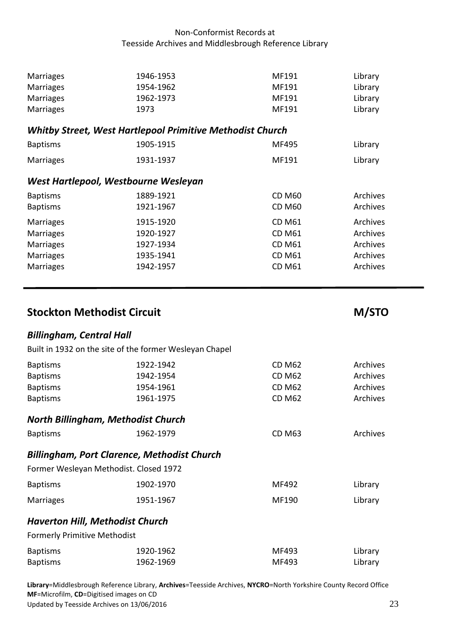<span id="page-22-6"></span><span id="page-22-5"></span><span id="page-22-4"></span><span id="page-22-3"></span><span id="page-22-2"></span><span id="page-22-1"></span><span id="page-22-0"></span>

| <b>Marriages</b>                       | 1946-1953                                                        | MF191         | Library  |
|----------------------------------------|------------------------------------------------------------------|---------------|----------|
| <b>Marriages</b>                       | 1954-1962                                                        | MF191         | Library  |
| <b>Marriages</b>                       | 1962-1973                                                        | MF191         | Library  |
| <b>Marriages</b>                       | 1973                                                             | MF191         | Library  |
|                                        | <b>Whitby Street, West Hartlepool Primitive Methodist Church</b> |               |          |
|                                        |                                                                  | MF495         |          |
| <b>Baptisms</b>                        | 1905-1915                                                        |               | Library  |
| <b>Marriages</b>                       | 1931-1937                                                        | MF191         | Library  |
|                                        | West Hartlepool, Westbourne Wesleyan                             |               |          |
| <b>Baptisms</b>                        | 1889-1921                                                        | <b>CD M60</b> | Archives |
| <b>Baptisms</b>                        | 1921-1967                                                        | <b>CD M60</b> | Archives |
| <b>Marriages</b>                       | 1915-1920                                                        | <b>CD M61</b> | Archives |
| <b>Marriages</b>                       | 1920-1927                                                        | <b>CD M61</b> | Archives |
| <b>Marriages</b>                       | 1927-1934                                                        | <b>CD M61</b> | Archives |
| <b>Marriages</b>                       | 1935-1941                                                        | <b>CD M61</b> | Archives |
| <b>Marriages</b>                       | 1942-1957                                                        | <b>CD M61</b> | Archives |
|                                        |                                                                  |               |          |
| <b>Stockton Methodist Circuit</b>      |                                                                  |               | M/STO    |
| <b>Billingham, Central Hall</b>        |                                                                  |               |          |
|                                        | Built in 1932 on the site of the former Wesleyan Chapel          |               |          |
| <b>Baptisms</b>                        | 1922-1942                                                        | <b>CD M62</b> | Archives |
| <b>Baptisms</b>                        | 1942-1954                                                        | <b>CD M62</b> | Archives |
| <b>Baptisms</b>                        | 1954-1961                                                        | <b>CD M62</b> | Archives |
| <b>Baptisms</b>                        | 1961-1975                                                        | <b>CD M62</b> | Archives |
|                                        | <b>North Billingham, Methodist Church</b>                        |               |          |
| <b>Baptisms</b>                        | 1962-1979                                                        | <b>CD M63</b> | Archives |
|                                        |                                                                  |               |          |
|                                        | <b>Billingham, Port Clarence, Methodist Church</b>               |               |          |
|                                        | Former Wesleyan Methodist. Closed 1972                           |               |          |
|                                        |                                                                  |               |          |
| <b>Baptisms</b>                        | 1902-1970                                                        | MF492         | Library  |
| <b>Marriages</b>                       | 1951-1967                                                        | MF190         | Library  |
| <b>Haverton Hill, Methodist Church</b> |                                                                  |               |          |
| <b>Formerly Primitive Methodist</b>    |                                                                  |               |          |
| <b>Baptisms</b>                        | 1920-1962                                                        | MF493         | Library  |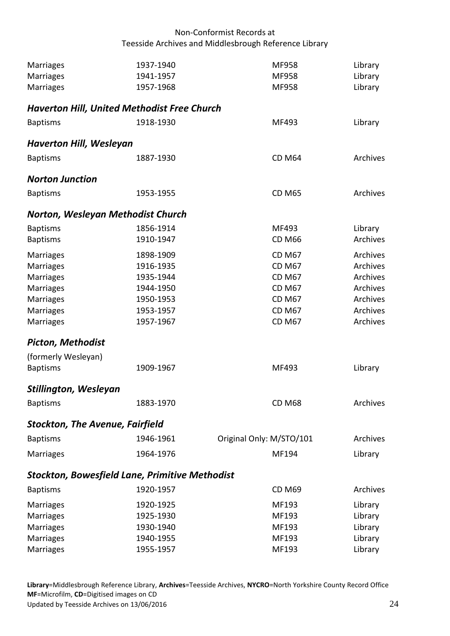<span id="page-23-7"></span><span id="page-23-6"></span><span id="page-23-5"></span><span id="page-23-4"></span><span id="page-23-3"></span><span id="page-23-2"></span><span id="page-23-1"></span><span id="page-23-0"></span>

| <b>Marriages</b>                                      | 1937-1940 | MF958                    | Library  |
|-------------------------------------------------------|-----------|--------------------------|----------|
| <b>Marriages</b>                                      | 1941-1957 | MF958                    | Library  |
| <b>Marriages</b>                                      | 1957-1968 | MF958                    | Library  |
| <b>Haverton Hill, United Methodist Free Church</b>    |           |                          |          |
| <b>Baptisms</b>                                       | 1918-1930 | MF493                    | Library  |
| <b>Haverton Hill, Wesleyan</b>                        |           |                          |          |
| <b>Baptisms</b>                                       | 1887-1930 | <b>CD M64</b>            | Archives |
| <b>Norton Junction</b>                                |           |                          |          |
| <b>Baptisms</b>                                       | 1953-1955 | <b>CD M65</b>            | Archives |
| Norton, Wesleyan Methodist Church                     |           |                          |          |
| <b>Baptisms</b>                                       | 1856-1914 | MF493                    | Library  |
| <b>Baptisms</b>                                       | 1910-1947 | <b>CD M66</b>            | Archives |
| <b>Marriages</b>                                      | 1898-1909 | <b>CD M67</b>            | Archives |
| <b>Marriages</b>                                      | 1916-1935 | <b>CD M67</b>            | Archives |
| <b>Marriages</b>                                      | 1935-1944 | <b>CD M67</b>            | Archives |
| <b>Marriages</b>                                      | 1944-1950 | <b>CD M67</b>            | Archives |
| <b>Marriages</b>                                      | 1950-1953 | <b>CD M67</b>            | Archives |
| <b>Marriages</b>                                      | 1953-1957 | <b>CD M67</b>            | Archives |
| <b>Marriages</b>                                      | 1957-1967 | <b>CD M67</b>            | Archives |
| <b>Picton, Methodist</b>                              |           |                          |          |
| (formerly Wesleyan)                                   |           |                          |          |
| <b>Baptisms</b>                                       | 1909-1967 | MF493                    | Library  |
| <b>Stillington, Wesleyan</b>                          |           |                          |          |
| <b>Baptisms</b>                                       | 1883-1970 | <b>CD M68</b>            | Archives |
| <b>Stockton, The Avenue, Fairfield</b>                |           |                          |          |
| <b>Baptisms</b>                                       | 1946-1961 | Original Only: M/STO/101 | Archives |
| Marriages                                             | 1964-1976 | MF194                    | Library  |
| <b>Stockton, Bowesfield Lane, Primitive Methodist</b> |           |                          |          |
| <b>Baptisms</b>                                       | 1920-1957 | <b>CD M69</b>            | Archives |
| Marriages                                             | 1920-1925 | MF193                    | Library  |
| <b>Marriages</b>                                      | 1925-1930 | MF193                    | Library  |
| Marriages                                             | 1930-1940 | MF193                    | Library  |
| <b>Marriages</b>                                      | 1940-1955 | MF193                    | Library  |
| <b>Marriages</b>                                      | 1955-1957 | MF193                    | Library  |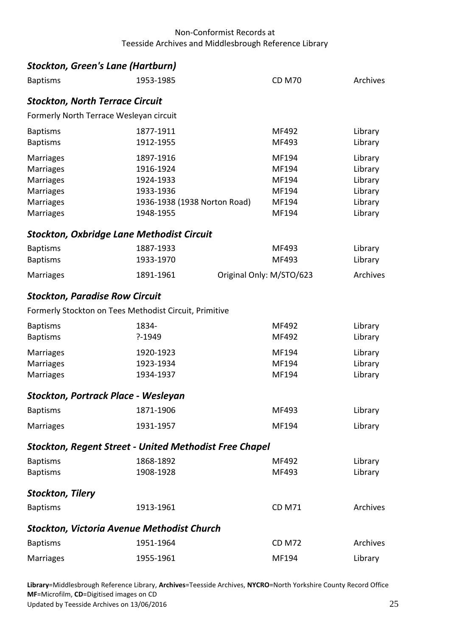<span id="page-24-7"></span><span id="page-24-6"></span><span id="page-24-5"></span><span id="page-24-4"></span><span id="page-24-3"></span><span id="page-24-2"></span><span id="page-24-1"></span><span id="page-24-0"></span>

|                                        | <b>Stockton, Green's Lane (Hartburn)</b>                      |                          |                 |
|----------------------------------------|---------------------------------------------------------------|--------------------------|-----------------|
| <b>Baptisms</b>                        | 1953-1985                                                     | <b>CD M70</b>            | Archives        |
| <b>Stockton, North Terrace Circuit</b> |                                                               |                          |                 |
|                                        | Formerly North Terrace Wesleyan circuit                       |                          |                 |
| <b>Baptisms</b>                        | 1877-1911                                                     | MF492                    | Library         |
| <b>Baptisms</b>                        | 1912-1955                                                     | MF493                    | Library         |
| Marriages                              | 1897-1916                                                     | MF194                    | Library         |
| <b>Marriages</b>                       | 1916-1924                                                     | MF194                    | Library         |
| <b>Marriages</b>                       | 1924-1933                                                     | MF194                    | Library         |
| <b>Marriages</b>                       | 1933-1936                                                     | MF194                    | Library         |
| <b>Marriages</b>                       | 1936-1938 (1938 Norton Road)                                  | MF194                    | Library         |
| Marriages                              | 1948-1955                                                     | MF194                    | Library         |
|                                        | <b>Stockton, Oxbridge Lane Methodist Circuit</b>              |                          |                 |
| <b>Baptisms</b>                        | 1887-1933                                                     | MF493                    | Library         |
| <b>Baptisms</b>                        | 1933-1970                                                     | MF493                    | Library         |
| <b>Marriages</b>                       | 1891-1961                                                     | Original Only: M/STO/623 | <b>Archives</b> |
| <b>Stockton, Paradise Row Circuit</b>  |                                                               |                          |                 |
|                                        | Formerly Stockton on Tees Methodist Circuit, Primitive        |                          |                 |
| <b>Baptisms</b>                        | 1834-                                                         | MF492                    | Library         |
| <b>Baptisms</b>                        | $? - 1949$                                                    | MF492                    | Library         |
| <b>Marriages</b>                       | 1920-1923                                                     | MF194                    | Library         |
| <b>Marriages</b>                       | 1923-1934                                                     | MF194                    | Library         |
| <b>Marriages</b>                       | 1934-1937                                                     | MF194                    | Library         |
|                                        | Stockton, Portrack Place - Wesleyan                           |                          |                 |
| <b>Baptisms</b>                        | 1871-1906                                                     | MF493                    | Library         |
| <b>Marriages</b>                       | 1931-1957                                                     | MF194                    | Library         |
|                                        | <b>Stockton, Regent Street - United Methodist Free Chapel</b> |                          |                 |
| <b>Baptisms</b>                        | 1868-1892                                                     | MF492                    | Library         |
| <b>Baptisms</b>                        | 1908-1928                                                     | MF493                    | Library         |
| <b>Stockton, Tilery</b>                |                                                               |                          |                 |
| <b>Baptisms</b>                        | 1913-1961                                                     | <b>CD M71</b>            | Archives        |
|                                        | <b>Stockton, Victoria Avenue Methodist Church</b>             |                          |                 |
| <b>Baptisms</b>                        | 1951-1964                                                     | <b>CD M72</b>            | Archives        |
| <b>Marriages</b>                       | 1955-1961                                                     | MF194                    | Library         |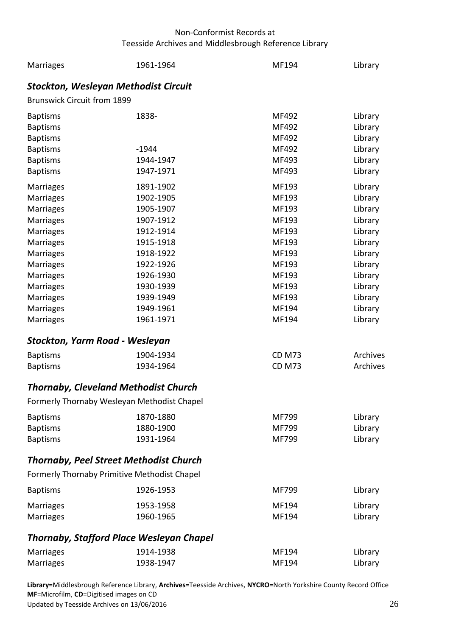<span id="page-25-4"></span><span id="page-25-3"></span><span id="page-25-2"></span><span id="page-25-1"></span><span id="page-25-0"></span>

| <b>Marriages</b>                                | 1961-1964 | MF194         | Library  |
|-------------------------------------------------|-----------|---------------|----------|
| <b>Stockton, Wesleyan Methodist Circuit</b>     |           |               |          |
| <b>Brunswick Circuit from 1899</b>              |           |               |          |
| <b>Baptisms</b>                                 | 1838-     | MF492         | Library  |
| <b>Baptisms</b>                                 |           | MF492         | Library  |
| <b>Baptisms</b>                                 |           | MF492         | Library  |
| <b>Baptisms</b>                                 | $-1944$   | MF492         | Library  |
| <b>Baptisms</b>                                 | 1944-1947 | MF493         | Library  |
| <b>Baptisms</b>                                 | 1947-1971 | MF493         | Library  |
| <b>Marriages</b>                                | 1891-1902 | MF193         | Library  |
| <b>Marriages</b>                                | 1902-1905 | MF193         | Library  |
| <b>Marriages</b>                                | 1905-1907 | MF193         | Library  |
| <b>Marriages</b>                                | 1907-1912 | MF193         | Library  |
| <b>Marriages</b>                                | 1912-1914 | MF193         | Library  |
| <b>Marriages</b>                                | 1915-1918 | MF193         | Library  |
| <b>Marriages</b>                                | 1918-1922 | MF193         | Library  |
| <b>Marriages</b>                                | 1922-1926 | MF193         | Library  |
| <b>Marriages</b>                                | 1926-1930 | MF193         | Library  |
| <b>Marriages</b>                                | 1930-1939 | MF193         | Library  |
| <b>Marriages</b>                                | 1939-1949 | MF193         | Library  |
| <b>Marriages</b>                                | 1949-1961 | MF194         | Library  |
| <b>Marriages</b>                                | 1961-1971 | MF194         | Library  |
| Stockton, Yarm Road - Wesleyan                  |           |               |          |
| <b>Baptisms</b>                                 | 1904-1934 | <b>CD M73</b> | Archives |
| <b>Baptisms</b>                                 | 1934-1964 | <b>CD M73</b> | Archives |
| <b>Thornaby, Cleveland Methodist Church</b>     |           |               |          |
| Formerly Thornaby Wesleyan Methodist Chapel     |           |               |          |
| <b>Baptisms</b>                                 | 1870-1880 | MF799         | Library  |
| <b>Baptisms</b>                                 | 1880-1900 | MF799         | Library  |
| <b>Baptisms</b>                                 | 1931-1964 | MF799         | Library  |
| <b>Thornaby, Peel Street Methodist Church</b>   |           |               |          |
| Formerly Thornaby Primitive Methodist Chapel    |           |               |          |
| <b>Baptisms</b>                                 | 1926-1953 | MF799         | Library  |
| <b>Marriages</b>                                | 1953-1958 | MF194         | Library  |
| <b>Marriages</b>                                | 1960-1965 | MF194         | Library  |
| <b>Thornaby, Stafford Place Wesleyan Chapel</b> |           |               |          |
| <b>Marriages</b>                                | 1914-1938 | MF194         | Library  |
| <b>Marriages</b>                                | 1938-1947 | MF194         | Library  |
|                                                 |           |               |          |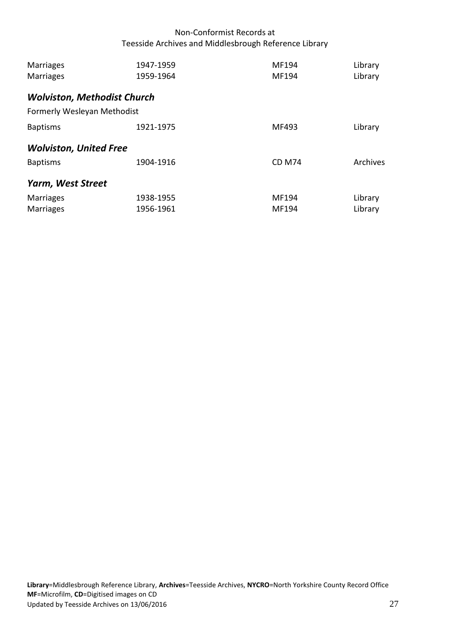<span id="page-26-2"></span><span id="page-26-1"></span><span id="page-26-0"></span>

| <b>Marriages</b><br><b>Marriages</b> | 1947-1959<br>1959-1964 | MF194<br>MF194 | Library<br>Library |
|--------------------------------------|------------------------|----------------|--------------------|
| <b>Wolviston, Methodist Church</b>   |                        |                |                    |
| Formerly Wesleyan Methodist          |                        |                |                    |
| <b>Baptisms</b>                      | 1921-1975              | MF493          | Library            |
| <b>Wolviston, United Free</b>        |                        |                |                    |
| <b>Baptisms</b>                      | 1904-1916              | <b>CD M74</b>  | Archives           |
| Yarm, West Street                    |                        |                |                    |
| <b>Marriages</b><br><b>Marriages</b> | 1938-1955<br>1956-1961 | MF194<br>MF194 | Library<br>Library |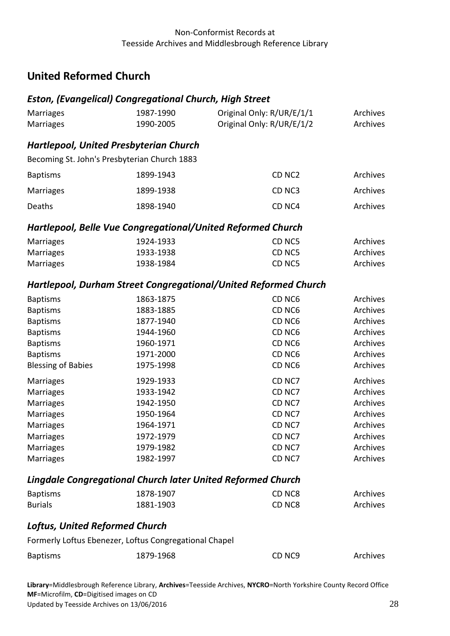Marriages 1987-1990 Original Only: R/UR/E/1/1 Archives

# <span id="page-27-0"></span>**United Reformed Church**

## <span id="page-27-1"></span>*Eston, (Evangelical) Congregational Church, High Street*

<span id="page-27-6"></span><span id="page-27-5"></span><span id="page-27-4"></span><span id="page-27-3"></span><span id="page-27-2"></span>

| <b>Marriages</b>                                                   | 1990-2005 | Original Only: R/UR/E/1/2                                       | Archives |
|--------------------------------------------------------------------|-----------|-----------------------------------------------------------------|----------|
| <b>Hartlepool, United Presbyterian Church</b>                      |           |                                                                 |          |
| Becoming St. John's Presbyterian Church 1883                       |           |                                                                 |          |
| <b>Baptisms</b>                                                    | 1899-1943 | CD <sub>NC2</sub>                                               | Archives |
| Marriages                                                          | 1899-1938 | CD <sub>NC3</sub>                                               | Archives |
| Deaths                                                             | 1898-1940 | CD <sub>NC4</sub>                                               | Archives |
| Hartlepool, Belle Vue Congregational/United Reformed Church        |           |                                                                 |          |
| Marriages                                                          | 1924-1933 | CD <sub>NC5</sub>                                               | Archives |
| Marriages                                                          | 1933-1938 | CD <sub>NC5</sub>                                               | Archives |
| Marriages                                                          | 1938-1984 | CD <sub>NC5</sub>                                               | Archives |
|                                                                    |           | Hartlepool, Durham Street Congregational/United Reformed Church |          |
| <b>Baptisms</b>                                                    | 1863-1875 | CD <sub>NC6</sub>                                               | Archives |
| <b>Baptisms</b>                                                    | 1883-1885 | CD <sub>NC6</sub>                                               | Archives |
| <b>Baptisms</b>                                                    | 1877-1940 | CD <sub>NC6</sub>                                               | Archives |
| <b>Baptisms</b>                                                    | 1944-1960 | CD <sub>NC6</sub>                                               | Archives |
| <b>Baptisms</b>                                                    | 1960-1971 | CD <sub>NC6</sub>                                               | Archives |
| <b>Baptisms</b>                                                    | 1971-2000 | CD <sub>NC6</sub>                                               | Archives |
| <b>Blessing of Babies</b>                                          | 1975-1998 | CD <sub>NC6</sub>                                               | Archives |
| Marriages                                                          | 1929-1933 | CD <sub>NC7</sub>                                               | Archives |
| Marriages                                                          | 1933-1942 | CD <sub>NC7</sub>                                               | Archives |
| Marriages                                                          | 1942-1950 | CD <sub>NC7</sub>                                               | Archives |
| <b>Marriages</b>                                                   | 1950-1964 | CD NC7                                                          | Archives |
| Marriages                                                          | 1964-1971 | CD <sub>NC7</sub>                                               | Archives |
| Marriages                                                          | 1972-1979 | CD NC7                                                          | Archives |
| Marriages                                                          | 1979-1982 | CD <sub>NC7</sub>                                               | Archives |
| Marriages                                                          | 1982-1997 | CD NC7                                                          | Archives |
| <b>Lingdale Congregational Church later United Reformed Church</b> |           |                                                                 |          |
| <b>Baptisms</b>                                                    | 1878-1907 | CD NC8                                                          | Archives |
| <b>Burials</b>                                                     | 1881-1903 | CD NC8                                                          | Archives |
| <b>Loftus, United Reformed Church</b>                              |           |                                                                 |          |
| Formerly Loftus Ebenezer, Loftus Congregational Chapel             |           |                                                                 |          |
| <b>Baptisms</b>                                                    | 1879-1968 | CD <sub>NC9</sub>                                               | Archives |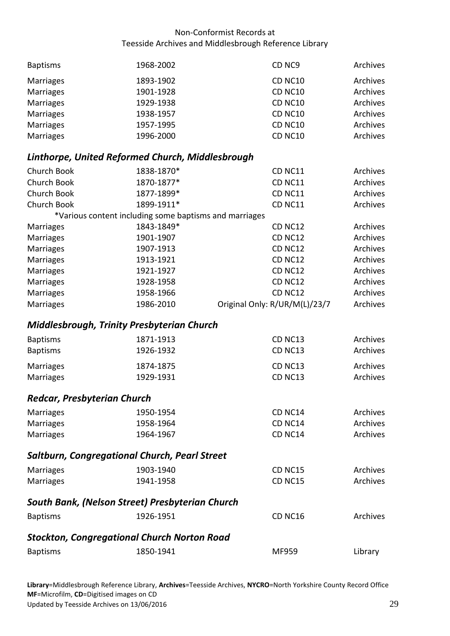| <b>Baptisms</b> | 1968-2002 | CD <sub>NC9</sub> | Archives |
|-----------------|-----------|-------------------|----------|
| Marriages       | 1893-1902 | <b>CD NC10</b>    | Archives |
| Marriages       | 1901-1928 | <b>CD NC10</b>    | Archives |
| Marriages       | 1929-1938 | <b>CD NC10</b>    | Archives |
| Marriages       | 1938-1957 | <b>CD NC10</b>    | Archives |
| Marriages       | 1957-1995 | CD NC10           | Archives |
| Marriages       | 1996-2000 | <b>CD NC10</b>    | Archives |

## <span id="page-28-0"></span>*Linthorpe, United Reformed Church, Middlesbrough*

| Church Book      | 1838-1870*                                             | CD NC11                       | Archives |
|------------------|--------------------------------------------------------|-------------------------------|----------|
| Church Book      | 1870-1877*                                             | CD NC11                       | Archives |
| Church Book      | 1877-1899*                                             | CD NC11                       | Archives |
| Church Book      | 1899-1911*                                             | CD NC11                       | Archives |
|                  | *Various content including some baptisms and marriages |                               |          |
| <b>Marriages</b> | 1843-1849*                                             | <b>CD NC12</b>                | Archives |
| <b>Marriages</b> | 1901-1907                                              | <b>CD NC12</b>                | Archives |
| <b>Marriages</b> | 1907-1913                                              | <b>CD NC12</b>                | Archives |
| <b>Marriages</b> | 1913-1921                                              | <b>CD NC12</b>                | Archives |
| <b>Marriages</b> | 1921-1927                                              | <b>CD NC12</b>                | Archives |
| <b>Marriages</b> | 1928-1958                                              | <b>CD NC12</b>                | Archives |
| Marriages        | 1958-1966                                              | CD NC12                       | Archives |
| Marriages        | 1986-2010                                              | Original Only: R/UR/M(L)/23/7 | Archives |

#### <span id="page-28-1"></span>*Middlesbrough, Trinity Presbyterian Church*

| <b>Baptisms</b><br><b>Baptisms</b> | 1871-1913<br>1926-1932 | CD NC <sub>13</sub><br>CD NC <sub>13</sub> | Archives<br>Archives |
|------------------------------------|------------------------|--------------------------------------------|----------------------|
| Marriages                          | 1874-1875              | CD NC <sub>13</sub>                        | Archives             |
| Marriages                          | 1929-1931              | CD NC <sub>13</sub>                        | Archives             |

## <span id="page-28-2"></span>*Redcar, Presbyterian Church*

| Marriages | 1950-1954 | CD NC14 | Archives |
|-----------|-----------|---------|----------|
| Marriages | 1958-1964 | CD NC14 | Archives |
| Marriages | 1964-1967 | CD NC14 | Archives |

#### <span id="page-28-3"></span>*Saltburn, Congregational Church, Pearl Street*

<span id="page-28-5"></span><span id="page-28-4"></span>

| <b>Marriages</b> | 1903-1940                                          | CD NC <sub>15</sub> | <b>Archives</b> |
|------------------|----------------------------------------------------|---------------------|-----------------|
| <b>Marriages</b> | 1941-1958                                          | <b>CD NC15</b>      | Archives        |
|                  | South Bank, (Nelson Street) Presbyterian Church    |                     |                 |
| <b>Baptisms</b>  | 1926-1951                                          | CD <sub>NC16</sub>  | <b>Archives</b> |
|                  | <b>Stockton, Congregational Church Norton Road</b> |                     |                 |
| <b>Baptisms</b>  | 1850-1941                                          | MF959               | Library         |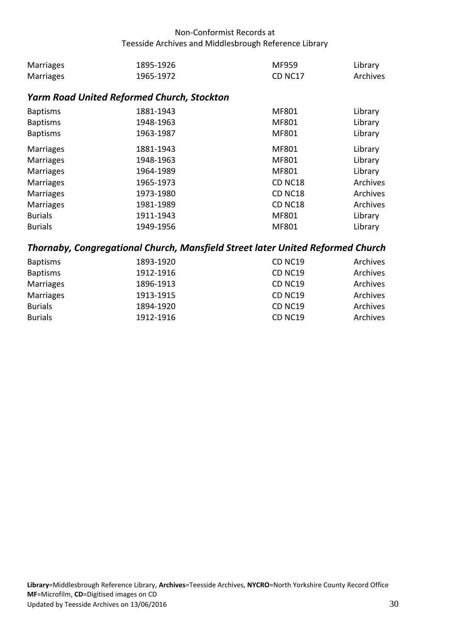| Marriages | 1895-1926 | MF959               | Library  |
|-----------|-----------|---------------------|----------|
| Marriages | 1965-1972 | CD NC <sub>17</sub> | Archives |

## <span id="page-29-0"></span>*Yarm Road United Reformed Church, Stockton*

| <b>Baptisms</b><br><b>Baptisms</b><br><b>Baptisms</b> | 1881-1943<br>1948-1963<br>1963-1987 | MF801<br>MF801<br>MF801 | Library<br>Library<br>Library |
|-------------------------------------------------------|-------------------------------------|-------------------------|-------------------------------|
| <b>Marriages</b>                                      | 1881-1943                           | MF801                   | Library                       |
| <b>Marriages</b>                                      | 1948-1963                           | MF801                   | Library                       |
| <b>Marriages</b>                                      | 1964-1989                           | MF801                   | Library                       |
| <b>Marriages</b>                                      | 1965-1973                           | CD NC18                 | Archives                      |
| <b>Marriages</b>                                      | 1973-1980                           | CD NC18                 | Archives                      |
| <b>Marriages</b>                                      | 1981-1989                           | CD NC18                 | Archives                      |
| <b>Burials</b>                                        | 1911-1943                           | MF801                   | Library                       |
| <b>Burials</b>                                        | 1949-1956                           | MF801                   | Library                       |

## <span id="page-29-1"></span>*Thornaby, Congregational Church, Mansfield Street later United Reformed Church*

| <b>Baptisms</b> | 1893-1920 | CD NC19             | Archives |
|-----------------|-----------|---------------------|----------|
| <b>Baptisms</b> | 1912-1916 | CD NC <sub>19</sub> | Archives |
| Marriages       | 1896-1913 | CD NC <sub>19</sub> | Archives |
| Marriages       | 1913-1915 | CD NC <sub>19</sub> | Archives |
| <b>Burials</b>  | 1894-1920 | <b>CD NC19</b>      | Archives |
| <b>Burials</b>  | 1912-1916 | CD NC19             | Archives |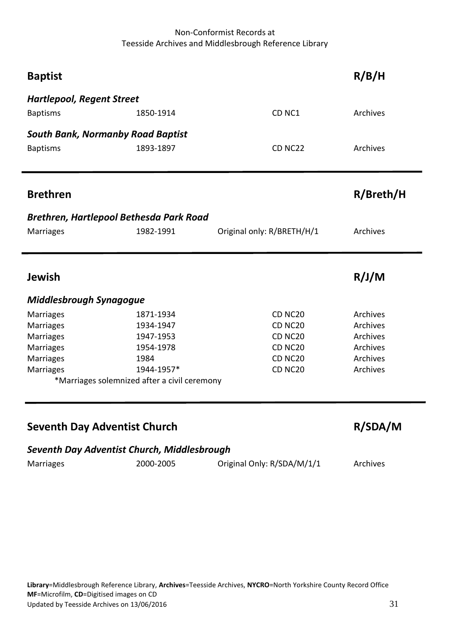<span id="page-30-8"></span><span id="page-30-7"></span><span id="page-30-6"></span><span id="page-30-5"></span><span id="page-30-4"></span><span id="page-30-3"></span><span id="page-30-2"></span><span id="page-30-1"></span><span id="page-30-0"></span>

| <b>Baptist</b>                   |                                              |                            | R/B/H     |
|----------------------------------|----------------------------------------------|----------------------------|-----------|
| <b>Hartlepool, Regent Street</b> |                                              |                            |           |
| <b>Baptisms</b>                  | 1850-1914                                    | CD <sub>NC1</sub>          | Archives  |
|                                  | <b>South Bank, Normanby Road Baptist</b>     |                            |           |
| <b>Baptisms</b>                  | 1893-1897                                    | CD NC22                    | Archives  |
| <b>Brethren</b>                  |                                              |                            | R/Breth/H |
|                                  | Brethren, Hartlepool Bethesda Park Road      |                            |           |
| <b>Marriages</b>                 | 1982-1991                                    | Original only: R/BRETH/H/1 | Archives  |
| <b>Jewish</b>                    |                                              |                            | R/J/M     |
| <b>Middlesbrough Synagogue</b>   |                                              |                            |           |
| <b>Marriages</b>                 | 1871-1934                                    | CD <sub>NC20</sub>         | Archives  |
| <b>Marriages</b>                 | 1934-1947                                    | CD NC <sub>20</sub>        | Archives  |
| Marriages                        | 1947-1953                                    | CD NC20                    | Archives  |
| Marriages                        | 1954-1978                                    | CD NC <sub>20</sub>        | Archives  |
| Marriages                        | 1984                                         | CD NC <sub>20</sub>        | Archives  |
| Marriages                        | 1944-1957*                                   | CD NC <sub>20</sub>        | Archives  |
|                                  | *Marriages solemnized after a civil ceremony |                            |           |
|                                  |                                              |                            |           |
|                                  | <b>Seventh Day Adventist Church</b>          |                            | R/SDA/M   |
|                                  | Seventh Day Adventist Church, Middlesbrough  |                            |           |
| <b>Marriages</b>                 | 2000-2005                                    | Original Only: R/SDA/M/1/1 | Archives  |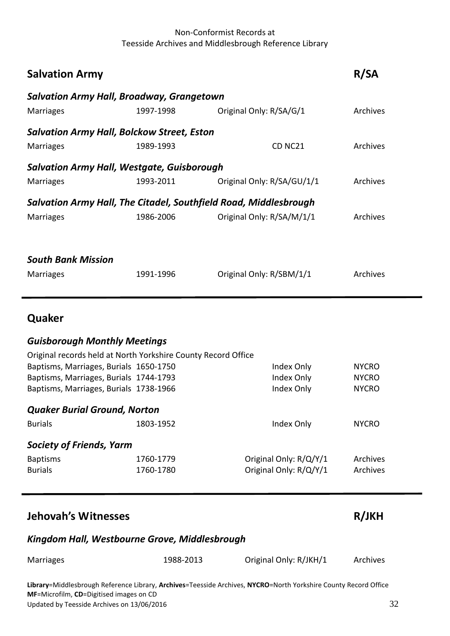<span id="page-31-3"></span><span id="page-31-2"></span><span id="page-31-1"></span><span id="page-31-0"></span>

| <b>Salvation Army</b>                                            |           |                            | <b>R/SA</b>     |
|------------------------------------------------------------------|-----------|----------------------------|-----------------|
| <b>Salvation Army Hall, Broadway, Grangetown</b>                 |           |                            |                 |
| <b>Marriages</b>                                                 | 1997-1998 | Original Only: R/SA/G/1    | Archives        |
| <b>Salvation Army Hall, Bolckow Street, Eston</b>                |           |                            |                 |
| <b>Marriages</b>                                                 | 1989-1993 | CD NC <sub>21</sub>        | <b>Archives</b> |
| Salvation Army Hall, Westgate, Guisborough                       |           |                            |                 |
| <b>Marriages</b>                                                 | 1993-2011 | Original Only: R/SA/GU/1/1 | <b>Archives</b> |
| Salvation Army Hall, The Citadel, Southfield Road, Middlesbrough |           |                            |                 |
| <b>Marriages</b>                                                 | 1986-2006 | Original Only: R/SA/M/1/1  | Archives        |
|                                                                  |           |                            |                 |
| <b>South Bank Mission</b>                                        |           |                            |                 |
| <b>Marriages</b>                                                 | 1991-1996 | Original Only: R/SBM/1/1   | Archives        |
|                                                                  |           |                            |                 |

## <span id="page-31-6"></span><span id="page-31-5"></span><span id="page-31-4"></span>**Quaker**

#### <span id="page-31-7"></span>*Guisborough Monthly Meetings*

<span id="page-31-9"></span><span id="page-31-8"></span>

|           | Index Only                                                                                                                                                                                           | <b>NYCRO</b>                                                  |
|-----------|------------------------------------------------------------------------------------------------------------------------------------------------------------------------------------------------------|---------------------------------------------------------------|
|           | Index Only                                                                                                                                                                                           | <b>NYCRO</b>                                                  |
|           | Index Only                                                                                                                                                                                           | <b>NYCRO</b>                                                  |
|           |                                                                                                                                                                                                      |                                                               |
| 1803-1952 | Index Only                                                                                                                                                                                           | <b>NYCRO</b>                                                  |
|           |                                                                                                                                                                                                      |                                                               |
| 1760-1779 | Original Only: R/Q/Y/1                                                                                                                                                                               | Archives                                                      |
| 1760-1780 | Original Only: R/Q/Y/1                                                                                                                                                                               | Archives                                                      |
|           | Baptisms, Marriages, Burials 1650-1750<br>Baptisms, Marriages, Burials 1744-1793<br>Baptisms, Marriages, Burials 1738-1966<br><b>Quaker Burial Ground, Norton</b><br><b>Society of Friends, Yarm</b> | Original records held at North Yorkshire County Record Office |

## <span id="page-31-10"></span>**Jehovah's Witnesses R/JKH**

#### <span id="page-31-11"></span>*Kingdom Hall, Westbourne Grove, Middlesbrough*

| <b>Marriages</b> | 1988-2013 | Original Only: R/JKH/1 | Archives |
|------------------|-----------|------------------------|----------|
|                  |           |                        |          |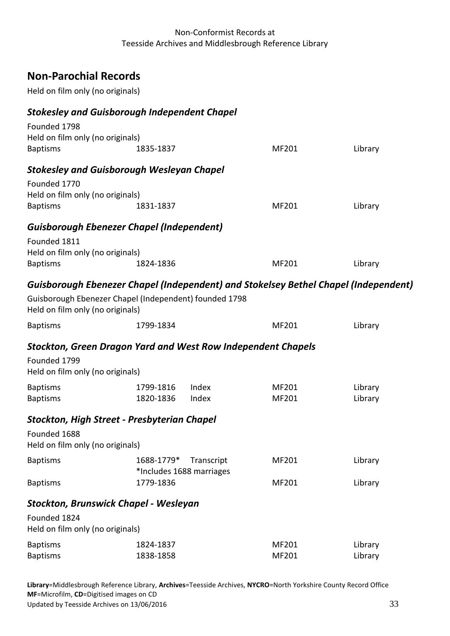# <span id="page-32-0"></span>**Non-Parochial Records**

Held on film only (no originals)

## <span id="page-32-1"></span>*Stokesley and Guisborough Independent Chapel*

<span id="page-32-7"></span><span id="page-32-6"></span><span id="page-32-5"></span><span id="page-32-4"></span><span id="page-32-3"></span><span id="page-32-2"></span>

| Founded 1798                                                        |            |                          |       |                                                                                     |  |
|---------------------------------------------------------------------|------------|--------------------------|-------|-------------------------------------------------------------------------------------|--|
| Held on film only (no originals)                                    |            |                          |       |                                                                                     |  |
| <b>Baptisms</b>                                                     | 1835-1837  |                          | MF201 | Library                                                                             |  |
| <b>Stokesley and Guisborough Wesleyan Chapel</b>                    |            |                          |       |                                                                                     |  |
| Founded 1770                                                        |            |                          |       |                                                                                     |  |
| Held on film only (no originals)                                    |            |                          |       |                                                                                     |  |
| <b>Baptisms</b>                                                     | 1831-1837  |                          | MF201 | Library                                                                             |  |
| <b>Guisborough Ebenezer Chapel (Independent)</b>                    |            |                          |       |                                                                                     |  |
| Founded 1811                                                        |            |                          |       |                                                                                     |  |
| Held on film only (no originals)                                    |            |                          |       |                                                                                     |  |
| <b>Baptisms</b>                                                     | 1824-1836  |                          | MF201 | Library                                                                             |  |
|                                                                     |            |                          |       | Guisborough Ebenezer Chapel (Independent) and Stokelsey Bethel Chapel (Independent) |  |
| Guisborough Ebenezer Chapel (Independent) founded 1798              |            |                          |       |                                                                                     |  |
| Held on film only (no originals)                                    |            |                          |       |                                                                                     |  |
| <b>Baptisms</b>                                                     | 1799-1834  |                          | MF201 | Library                                                                             |  |
|                                                                     |            |                          |       |                                                                                     |  |
| <b>Stockton, Green Dragon Yard and West Row Independent Chapels</b> |            |                          |       |                                                                                     |  |
| Founded 1799                                                        |            |                          |       |                                                                                     |  |
| Held on film only (no originals)                                    |            |                          |       |                                                                                     |  |
| <b>Baptisms</b>                                                     | 1799-1816  | Index                    | MF201 | Library                                                                             |  |
| <b>Baptisms</b>                                                     | 1820-1836  | Index                    | MF201 | Library                                                                             |  |
| <b>Stockton, High Street - Presbyterian Chapel</b>                  |            |                          |       |                                                                                     |  |
| Founded 1688                                                        |            |                          |       |                                                                                     |  |
| Held on film only (no originals)                                    |            |                          |       |                                                                                     |  |
| <b>Baptisms</b>                                                     | 1688-1779* | Transcript               | MF201 | Library                                                                             |  |
|                                                                     |            | *Includes 1688 marriages |       |                                                                                     |  |
| <b>Baptisms</b>                                                     | 1779-1836  |                          | MF201 | Library                                                                             |  |
|                                                                     |            |                          |       |                                                                                     |  |
| <b>Stockton, Brunswick Chapel - Wesleyan</b>                        |            |                          |       |                                                                                     |  |
| Founded 1824                                                        |            |                          |       |                                                                                     |  |
| Held on film only (no originals)                                    |            |                          |       |                                                                                     |  |
| <b>Baptisms</b>                                                     | 1824-1837  |                          | MF201 | Library                                                                             |  |
| <b>Baptisms</b>                                                     | 1838-1858  |                          | MF201 | Library                                                                             |  |
|                                                                     |            |                          |       |                                                                                     |  |